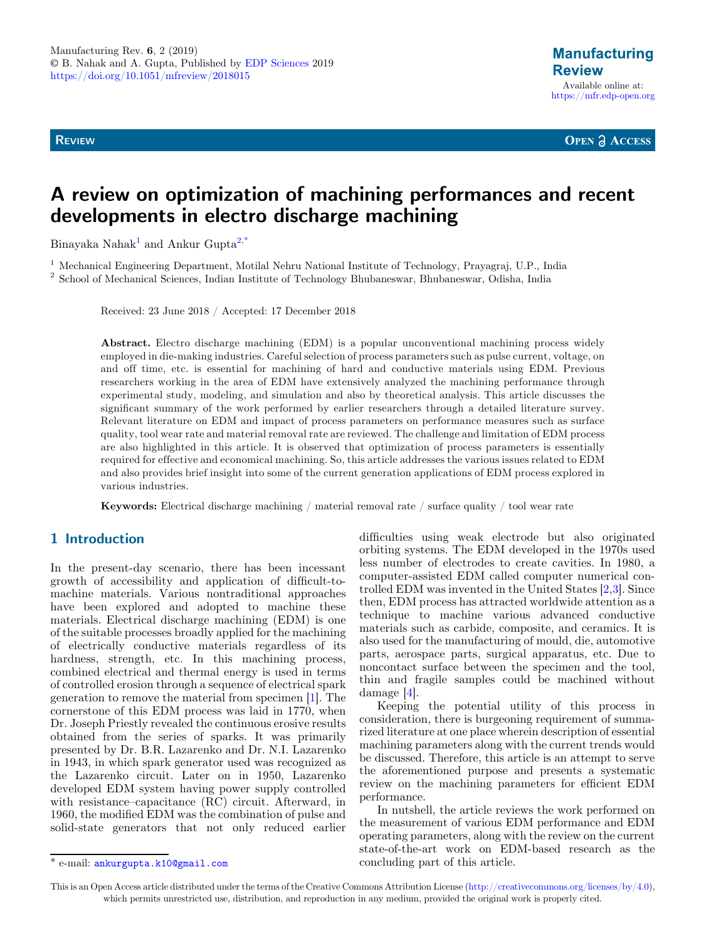**REVIEW** 

**OPEN A ACCESS** 

# A review on optimization of machining performances and recent developments in electro discharge machining

Binayaka Nahak $^1$  and Ankur Gupta $^{2,*}$ 

<sup>1</sup> Mechanical Engineering Department, Motilal Nehru National Institute of Technology, Prayagraj, U.P., India <sup>2</sup> School of Mechanical Sciences, Indian Institute of Technology Bhubaneswar, Bhubaneswar, Odisha, India

Received: 23 June 2018 / Accepted: 17 December 2018

Abstract. Electro discharge machining (EDM) is a popular unconventional machining process widely employed in die-making industries. Careful selection of process parameters such as pulse current, voltage, on and off time, etc. is essential for machining of hard and conductive materials using EDM. Previous researchers working in the area of EDM have extensively analyzed the machining performance through experimental study, modeling, and simulation and also by theoretical analysis. This article discusses the significant summary of the work performed by earlier researchers through a detailed literature survey. Relevant literature on EDM and impact of process parameters on performance measures such as surface quality, tool wear rate and material removal rate are reviewed. The challenge and limitation of EDM process are also highlighted in this article. It is observed that optimization of process parameters is essentially required for effective and economical machining. So, this article addresses the various issues related to EDM and also provides brief insight into some of the current generation applications of EDM process explored in various industries.

Keywords: Electrical discharge machining / material removal rate / surface quality / tool wear rate

# 1 Introduction

In the present-day scenario, there has been incessant growth of accessibility and application of difficult-tomachine materials. Various nontraditional approaches have been explored and adopted to machine these materials. Electrical discharge machining (EDM) is one of the suitable processes broadly applied for the machining of electrically conductive materials regardless of its hardness, strength, etc. In this machining process, combined electrical and thermal energy is used in terms of controlled erosion through a sequence of electrical spark generation to remove the material from specimen [1]. The cornerstone of this EDM process was laid in 1770, when Dr. Joseph Priestly revealed the continuous erosive results obtained from the series of sparks. It was primarily presented by Dr. B.R. Lazarenko and Dr. N.I. Lazarenko in 1943, in which spark generator used was recognized as the Lazarenko circuit. Later on in 1950, Lazarenko developed EDM system having power supply controlled with resistance–capacitance (RC) circuit. Afterward, in 1960, the modified EDM was the combination of pulse and solid-state generators that not only reduced earlier difficulties using weak electrode but also originated orbiting systems. The EDM developed in the 1970s used less number of electrodes to create cavities. In 1980, a computer-assisted EDM called computer numerical controlled EDM was invented in the United States [2,3]. Since then, EDM process has attracted worldwide attention as a technique to machine various advanced conductive materials such as carbide, composite, and ceramics. It is also used for the manufacturing of mould, die, automotive parts, aerospace parts, surgical apparatus, etc. Due to noncontact surface between the specimen and the tool, thin and fragile samples could be machined without damage [4].

Keeping the potential utility of this process in consideration, there is burgeoning requirement of summarized literature at one place wherein description of essential machining parameters along with the current trends would be discussed. Therefore, this article is an attempt to serve the aforementioned purpose and presents a systematic review on the machining parameters for efficient EDM performance.

In nutshell, the article reviews the work performed on the measurement of various EDM performance and EDM operating parameters, along with the review on the current state-of-the-art work on EDM-based research as the \* e-mail: ankurgupta.k10@gmail.com concluding part of this article.

This is an Open Access article distributed under the terms of the Creative Commons Attribution License (http://creativecommons.org/licenses/by/4.0), which permits unrestricted use, distribution, and reproduction in any medium, provided the original work is properly cited.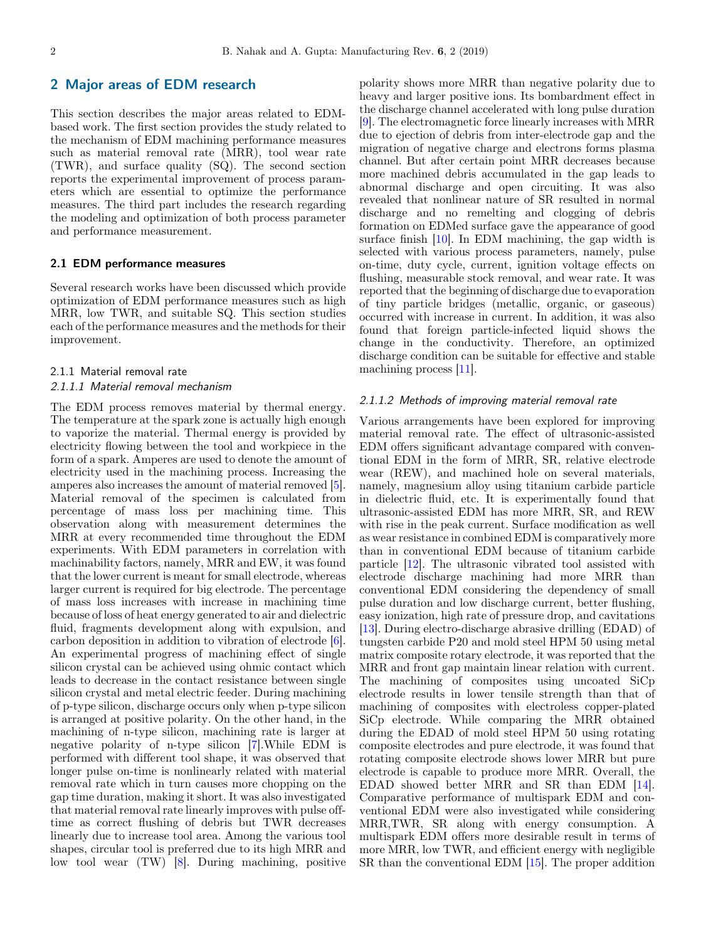# 2 Major areas of EDM research

This section describes the major areas related to EDMbased work. The first section provides the study related to the mechanism of EDM machining performance measures such as material removal rate (MRR), tool wear rate (TWR), and surface quality (SQ). The second section reports the experimental improvement of process parameters which are essential to optimize the performance measures. The third part includes the research regarding the modeling and optimization of both process parameter and performance measurement.

#### 2.1 EDM performance measures

Several research works have been discussed which provide optimization of EDM performance measures such as high MRR, low TWR, and suitable SQ. This section studies each of the performance measures and the methods for their improvement.

#### 2.1.1 Material removal rate

#### 2.1.1.1 Material removal mechanism

The EDM process removes material by thermal energy. The temperature at the spark zone is actually high enough to vaporize the material. Thermal energy is provided by electricity flowing between the tool and workpiece in the form of a spark. Amperes are used to denote the amount of electricity used in the machining process. Increasing the amperes also increases the amount of material removed [5]. Material removal of the specimen is calculated from percentage of mass loss per machining time. This observation along with measurement determines the MRR at every recommended time throughout the EDM experiments. With EDM parameters in correlation with machinability factors, namely, MRR and EW, it was found that the lower current is meant for small electrode, whereas larger current is required for big electrode. The percentage of mass loss increases with increase in machining time because of loss of heat energy generated to air and dielectric fluid, fragments development along with expulsion, and carbon deposition in addition to vibration of electrode [6]. An experimental progress of machining effect of single silicon crystal can be achieved using ohmic contact which leads to decrease in the contact resistance between single silicon crystal and metal electric feeder. During machining of p-type silicon, discharge occurs only when p-type silicon is arranged at positive polarity. On the other hand, in the machining of n-type silicon, machining rate is larger at negative polarity of n-type silicon [7].While EDM is performed with different tool shape, it was observed that longer pulse on-time is nonlinearly related with material removal rate which in turn causes more chopping on the gap time duration, making it short. It was also investigated that material removal rate linearly improves with pulse offtime as correct flushing of debris but TWR decreases linearly due to increase tool area. Among the various tool shapes, circular tool is preferred due to its high MRR and low tool wear (TW) [8]. During machining, positive

polarity shows more MRR than negative polarity due to heavy and larger positive ions. Its bombardment effect in the discharge channel accelerated with long pulse duration [9]. The electromagnetic force linearly increases with MRR due to ejection of debris from inter-electrode gap and the migration of negative charge and electrons forms plasma channel. But after certain point MRR decreases because more machined debris accumulated in the gap leads to abnormal discharge and open circuiting. It was also revealed that nonlinear nature of SR resulted in normal discharge and no remelting and clogging of debris formation on EDMed surface gave the appearance of good surface finish [10]. In EDM machining, the gap width is selected with various process parameters, namely, pulse on-time, duty cycle, current, ignition voltage effects on flushing, measurable stock removal, and wear rate. It was reported that the beginning of discharge due to evaporation of tiny particle bridges (metallic, organic, or gaseous) occurred with increase in current. In addition, it was also found that foreign particle-infected liquid shows the change in the conductivity. Therefore, an optimized discharge condition can be suitable for effective and stable machining process [11].

#### 2.1.1.2 Methods of improving material removal rate

Various arrangements have been explored for improving material removal rate. The effect of ultrasonic-assisted EDM offers significant advantage compared with conventional EDM in the form of MRR, SR, relative electrode wear (REW), and machined hole on several materials, namely, magnesium alloy using titanium carbide particle in dielectric fluid, etc. It is experimentally found that ultrasonic-assisted EDM has more MRR, SR, and REW with rise in the peak current. Surface modification as well as wear resistance in combined EDM is comparatively more than in conventional EDM because of titanium carbide particle [12]. The ultrasonic vibrated tool assisted with electrode discharge machining had more MRR than conventional EDM considering the dependency of small pulse duration and low discharge current, better flushing, easy ionization, high rate of pressure drop, and cavitations [13]. During electro-discharge abrasive drilling (EDAD) of tungsten carbide P20 and mold steel HPM 50 using metal matrix composite rotary electrode, it was reported that the MRR and front gap maintain linear relation with current. The machining of composites using uncoated SiCp electrode results in lower tensile strength than that of machining of composites with electroless copper-plated SiCp electrode. While comparing the MRR obtained during the EDAD of mold steel HPM 50 using rotating composite electrodes and pure electrode, it was found that rotating composite electrode shows lower MRR but pure electrode is capable to produce more MRR. Overall, the EDAD showed better MRR and SR than EDM [14]. Comparative performance of multispark EDM and conventional EDM were also investigated while considering MRR,TWR, SR along with energy consumption. A multispark EDM offers more desirable result in terms of more MRR, low TWR, and efficient energy with negligible SR than the conventional EDM [15]. The proper addition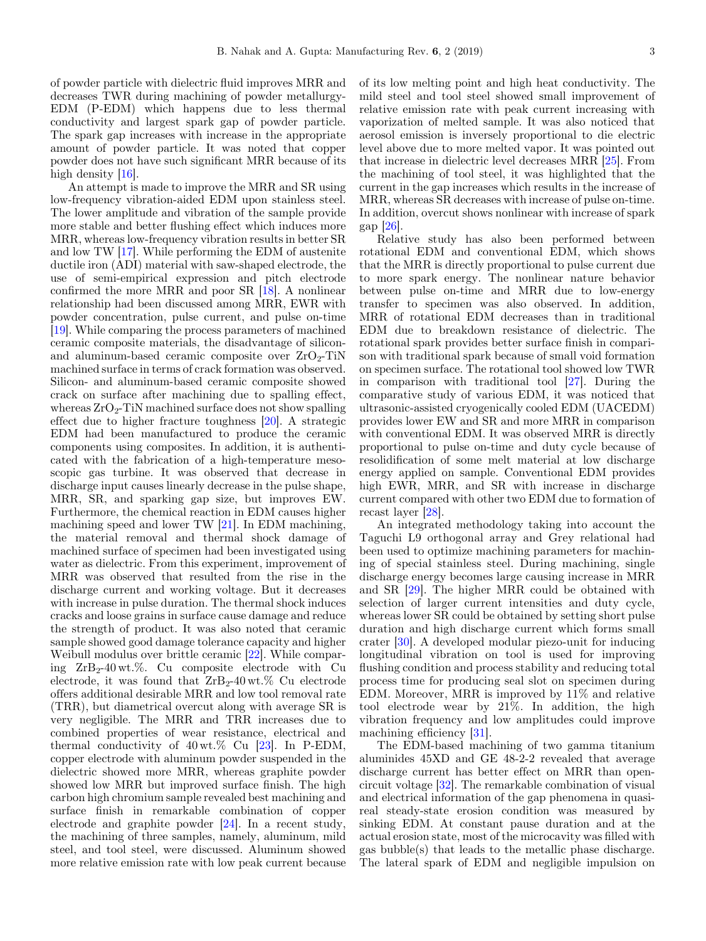of powder particle with dielectric fluid improves MRR and decreases TWR during machining of powder metallurgy-EDM (P-EDM) which happens due to less thermal conductivity and largest spark gap of powder particle. The spark gap increases with increase in the appropriate amount of powder particle. It was noted that copper powder does not have such significant MRR because of its high density [16].

An attempt is made to improve the MRR and SR using low-frequency vibration-aided EDM upon stainless steel. The lower amplitude and vibration of the sample provide more stable and better flushing effect which induces more MRR, whereas low-frequency vibration results in better SR and low TW [17]. While performing the EDM of austenite ductile iron (ADI) material with saw-shaped electrode, the use of semi-empirical expression and pitch electrode confirmed the more MRR and poor SR [18]. A nonlinear relationship had been discussed among MRR, EWR with powder concentration, pulse current, and pulse on-time [19]. While comparing the process parameters of machined ceramic composite materials, the disadvantage of siliconand aluminum-based ceramic composite over  $ZrO_2-TiN$ machined surface in terms of crack formation was observed. Silicon- and aluminum-based ceramic composite showed crack on surface after machining due to spalling effect, whereas  $ZrO<sub>2</sub>$ -TiN machined surface does not show spalling effect due to higher fracture toughness [20]. A strategic EDM had been manufactured to produce the ceramic components using composites. In addition, it is authenticated with the fabrication of a high-temperature mesoscopic gas turbine. It was observed that decrease in discharge input causes linearly decrease in the pulse shape, MRR, SR, and sparking gap size, but improves EW. Furthermore, the chemical reaction in EDM causes higher machining speed and lower TW [21]. In EDM machining, the material removal and thermal shock damage of machined surface of specimen had been investigated using water as dielectric. From this experiment, improvement of MRR was observed that resulted from the rise in the discharge current and working voltage. But it decreases with increase in pulse duration. The thermal shock induces cracks and loose grains in surface cause damage and reduce the strength of product. It was also noted that ceramic sample showed good damage tolerance capacity and higher Weibull modulus over brittle ceramic [22]. While comparing  $\text{ZrB}_2$ -40 wt.%. Cu composite electrode with Cu electrode, it was found that  $\text{ZrB}_2$ -40 wt.% Cu electrode offers additional desirable MRR and low tool removal rate (TRR), but diametrical overcut along with average SR is very negligible. The MRR and TRR increases due to combined properties of wear resistance, electrical and thermal conductivity of  $40 \text{ wt.}$ % Cu [23]. In P-EDM, copper electrode with aluminum powder suspended in the dielectric showed more MRR, whereas graphite powder showed low MRR but improved surface finish. The high carbon high chromium sample revealed best machining and surface finish in remarkable combination of copper electrode and graphite powder [24]. In a recent study, the machining of three samples, namely, aluminum, mild steel, and tool steel, were discussed. Aluminum showed more relative emission rate with low peak current because

of its low melting point and high heat conductivity. The mild steel and tool steel showed small improvement of relative emission rate with peak current increasing with vaporization of melted sample. It was also noticed that aerosol emission is inversely proportional to die electric level above due to more melted vapor. It was pointed out that increase in dielectric level decreases MRR [25]. From the machining of tool steel, it was highlighted that the current in the gap increases which results in the increase of MRR, whereas SR decreases with increase of pulse on-time. In addition, overcut shows nonlinear with increase of spark gap [26].

Relative study has also been performed between rotational EDM and conventional EDM, which shows that the MRR is directly proportional to pulse current due to more spark energy. The nonlinear nature behavior between pulse on-time and MRR due to low-energy transfer to specimen was also observed. In addition, MRR of rotational EDM decreases than in traditional EDM due to breakdown resistance of dielectric. The rotational spark provides better surface finish in comparison with traditional spark because of small void formation on specimen surface. The rotational tool showed low TWR in comparison with traditional tool [27]. During the comparative study of various EDM, it was noticed that ultrasonic-assisted cryogenically cooled EDM (UACEDM) provides lower EW and SR and more MRR in comparison with conventional EDM. It was observed MRR is directly proportional to pulse on-time and duty cycle because of resolidification of some melt material at low discharge energy applied on sample. Conventional EDM provides high EWR, MRR, and SR with increase in discharge current compared with other two EDM due to formation of recast layer [28].

An integrated methodology taking into account the Taguchi L9 orthogonal array and Grey relational had been used to optimize machining parameters for machining of special stainless steel. During machining, single discharge energy becomes large causing increase in MRR and SR [29]. The higher MRR could be obtained with selection of larger current intensities and duty cycle, whereas lower SR could be obtained by setting short pulse duration and high discharge current which forms small crater [30]. A developed modular piezo-unit for inducing longitudinal vibration on tool is used for improving flushing condition and process stability and reducing total process time for producing seal slot on specimen during EDM. Moreover, MRR is improved by 11% and relative tool electrode wear by 21%. In addition, the high vibration frequency and low amplitudes could improve machining efficiency [31].

The EDM-based machining of two gamma titanium aluminides 45XD and GE 48-2-2 revealed that average discharge current has better effect on MRR than opencircuit voltage [32]. The remarkable combination of visual and electrical information of the gap phenomena in quasireal steady-state erosion condition was measured by sinking EDM. At constant pause duration and at the actual erosion state, most of the microcavity was filled with gas bubble(s) that leads to the metallic phase discharge. The lateral spark of EDM and negligible impulsion on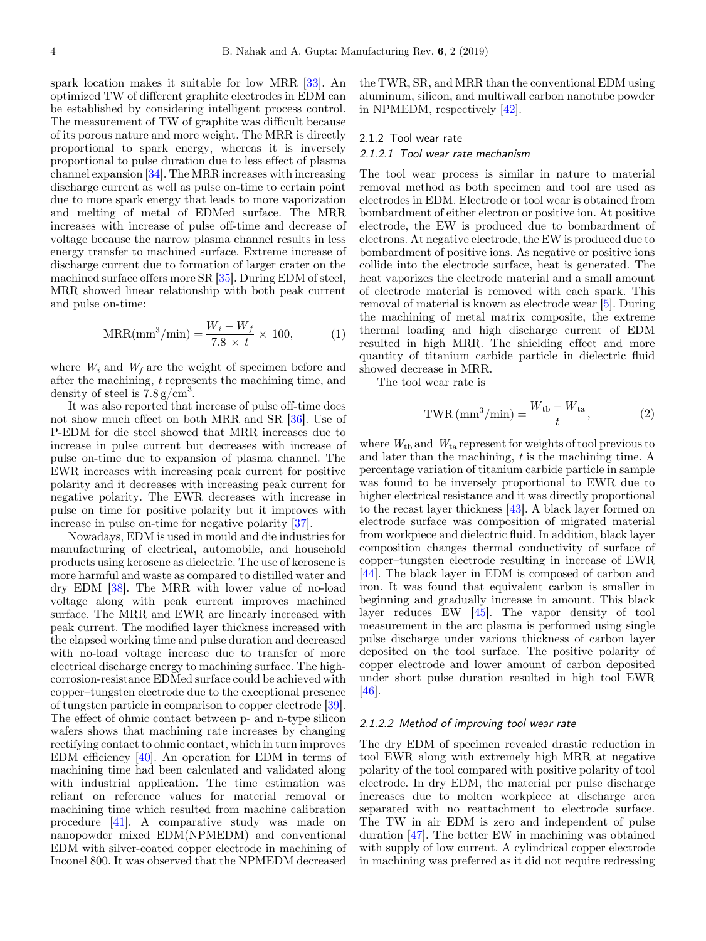spark location makes it suitable for low MRR [33]. An optimized TW of different graphite electrodes in EDM can be established by considering intelligent process control. The measurement of TW of graphite was difficult because of its porous nature and more weight. The MRR is directly proportional to spark energy, whereas it is inversely proportional to pulse duration due to less effect of plasma channel expansion [34]. The MRR increases with increasing discharge current as well as pulse on-time to certain point due to more spark energy that leads to more vaporization and melting of metal of EDMed surface. The MRR increases with increase of pulse off-time and decrease of voltage because the narrow plasma channel results in less energy transfer to machined surface. Extreme increase of discharge current due to formation of larger crater on the machined surface offers more SR [35]. During EDM of steel, MRR showed linear relationship with both peak current and pulse on-time:

$$
MRR(mm^3/min) = \frac{W_i - W_f}{7.8 \times t} \times 100,
$$
 (1)

where  $W_i$  and  $W_f$  are the weight of specimen before and after the machining, t represents the machining time, and density of steel is  $7.8 \text{ g/cm}^3$ .

It was also reported that increase of pulse off-time does not show much effect on both MRR and SR [36]. Use of P-EDM for die steel showed that MRR increases due to increase in pulse current but decreases with increase of pulse on-time due to expansion of plasma channel. The EWR increases with increasing peak current for positive polarity and it decreases with increasing peak current for negative polarity. The EWR decreases with increase in pulse on time for positive polarity but it improves with increase in pulse on-time for negative polarity [37].

Nowadays, EDM is used in mould and die industries for manufacturing of electrical, automobile, and household products using kerosene as dielectric. The use of kerosene is more harmful and waste as compared to distilled water and dry EDM [38]. The MRR with lower value of no-load voltage along with peak current improves machined surface. The MRR and EWR are linearly increased with peak current. The modified layer thickness increased with the elapsed working time and pulse duration and decreased with no-load voltage increase due to transfer of more electrical discharge energy to machining surface. The highcorrosion-resistance EDMed surface could be achieved with copper–tungsten electrode due to the exceptional presence of tungsten particle in comparison to copper electrode [39]. The effect of ohmic contact between p- and n-type silicon wafers shows that machining rate increases by changing rectifying contact to ohmic contact, which in turn improves EDM efficiency [40]. An operation for EDM in terms of machining time had been calculated and validated along with industrial application. The time estimation was reliant on reference values for material removal or machining time which resulted from machine calibration procedure [41]. A comparative study was made on nanopowder mixed EDM(NPMEDM) and conventional EDM with silver-coated copper electrode in machining of Inconel 800. It was observed that the NPMEDM decreased

the TWR, SR, and MRR than the conventional EDM using aluminum, silicon, and multiwall carbon nanotube powder in NPMEDM, respectively [42].

# 2.1.2 Tool wear rate

# 2.1.2.1 Tool wear rate mechanism

The tool wear process is similar in nature to material removal method as both specimen and tool are used as electrodes in EDM. Electrode or tool wear is obtained from bombardment of either electron or positive ion. At positive electrode, the EW is produced due to bombardment of electrons. At negative electrode, the EW is produced due to bombardment of positive ions. As negative or positive ions collide into the electrode surface, heat is generated. The heat vaporizes the electrode material and a small amount of electrode material is removed with each spark. This removal of material is known as electrode wear [5]. During the machining of metal matrix composite, the extreme thermal loading and high discharge current of EDM resulted in high MRR. The shielding effect and more quantity of titanium carbide particle in dielectric fluid showed decrease in MRR.

The tool wear rate is

$$
\text{TWR} \left( \text{mm}^3 / \text{min} \right) = \frac{W_{\text{tb}} - W_{\text{ta}}}{t}, \tag{2}
$$

where  $W_{\text{th}}$  and  $W_{\text{ta}}$  represent for weights of tool previous to and later than the machining, t is the machining time. A percentage variation of titanium carbide particle in sample was found to be inversely proportional to EWR due to higher electrical resistance and it was directly proportional to the recast layer thickness [43]. A black layer formed on electrode surface was composition of migrated material from workpiece and dielectric fluid. In addition, black layer composition changes thermal conductivity of surface of copper–tungsten electrode resulting in increase of EWR [44]. The black layer in EDM is composed of carbon and iron. It was found that equivalent carbon is smaller in beginning and gradually increase in amount. This black layer reduces EW [45]. The vapor density of tool measurement in the arc plasma is performed using single pulse discharge under various thickness of carbon layer deposited on the tool surface. The positive polarity of copper electrode and lower amount of carbon deposited under short pulse duration resulted in high tool EWR [46].

#### 2.1.2.2 Method of improving tool wear rate

The dry EDM of specimen revealed drastic reduction in tool EWR along with extremely high MRR at negative polarity of the tool compared with positive polarity of tool electrode. In dry EDM, the material per pulse discharge increases due to molten workpiece at discharge area separated with no reattachment to electrode surface. The TW in air EDM is zero and independent of pulse duration [47]. The better EW in machining was obtained with supply of low current. A cylindrical copper electrode in machining was preferred as it did not require redressing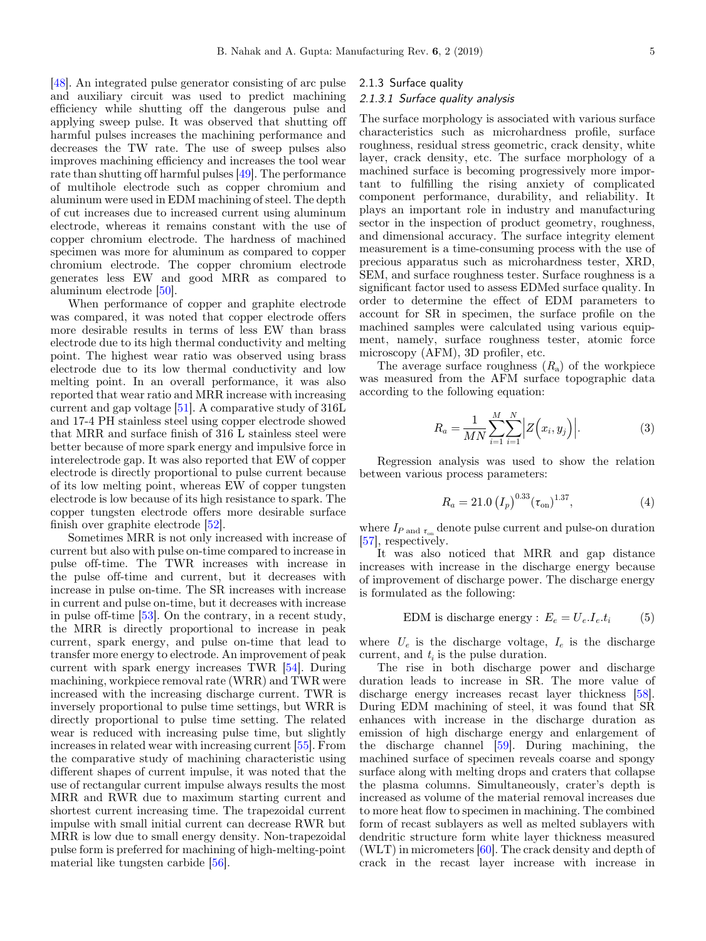[48]. An integrated pulse generator consisting of arc pulse and auxiliary circuit was used to predict machining efficiency while shutting off the dangerous pulse and applying sweep pulse. It was observed that shutting off harmful pulses increases the machining performance and decreases the TW rate. The use of sweep pulses also improves machining efficiency and increases the tool wear rate than shutting off harmful pulses [49]. The performance of multihole electrode such as copper chromium and aluminum were used in EDM machining of steel. The depth of cut increases due to increased current using aluminum electrode, whereas it remains constant with the use of copper chromium electrode. The hardness of machined specimen was more for aluminum as compared to copper chromium electrode. The copper chromium electrode generates less EW and good MRR as compared to aluminum electrode [50].

When performance of copper and graphite electrode was compared, it was noted that copper electrode offers more desirable results in terms of less EW than brass electrode due to its high thermal conductivity and melting point. The highest wear ratio was observed using brass electrode due to its low thermal conductivity and low melting point. In an overall performance, it was also reported that wear ratio and MRR increase with increasing current and gap voltage [51]. A comparative study of 316L and 17-4 PH stainless steel using copper electrode showed that MRR and surface finish of 316 L stainless steel were better because of more spark energy and impulsive force in interelectrode gap. It was also reported that EW of copper electrode is directly proportional to pulse current because of its low melting point, whereas EW of copper tungsten electrode is low because of its high resistance to spark. The copper tungsten electrode offers more desirable surface finish over graphite electrode [52].

Sometimes MRR is not only increased with increase of current but also with pulse on-time compared to increase in pulse off-time. The TWR increases with increase in the pulse off-time and current, but it decreases with increase in pulse on-time. The SR increases with increase in current and pulse on-time, but it decreases with increase in pulse off-time [53]. On the contrary, in a recent study, the MRR is directly proportional to increase in peak current, spark energy, and pulse on-time that lead to transfer more energy to electrode. An improvement of peak current with spark energy increases TWR [54]. During machining, workpiece removal rate (WRR) and TWR were increased with the increasing discharge current. TWR is inversely proportional to pulse time settings, but WRR is directly proportional to pulse time setting. The related wear is reduced with increasing pulse time, but slightly increases in related wear with increasing current [55]. From the comparative study of machining characteristic using different shapes of current impulse, it was noted that the use of rectangular current impulse always results the most MRR and RWR due to maximum starting current and shortest current increasing time. The trapezoidal current impulse with small initial current can decrease RWR but MRR is low due to small energy density. Non-trapezoidal pulse form is preferred for machining of high-melting-point material like tungsten carbide [56].

#### 2.1.3 Surface quality

## 2.1.3.1 Surface quality analysis

The surface morphology is associated with various surface characteristics such as microhardness profile, surface roughness, residual stress geometric, crack density, white layer, crack density, etc. The surface morphology of a machined surface is becoming progressively more important to fulfilling the rising anxiety of complicated component performance, durability, and reliability. It plays an important role in industry and manufacturing sector in the inspection of product geometry, roughness, and dimensional accuracy. The surface integrity element measurement is a time-consuming process with the use of precious apparatus such as microhardness tester, XRD, SEM, and surface roughness tester. Surface roughness is a significant factor used to assess EDMed surface quality. In order to determine the effect of EDM parameters to account for SR in specimen, the surface profile on the machined samples were calculated using various equipment, namely, surface roughness tester, atomic force microscopy (AFM), 3D profiler, etc.

The average surface roughness  $(R_a)$  of the workpiece was measured from the AFM surface topographic data according to the following equation:

$$
R_a = \frac{1}{MN} \sum_{i=1}^{M} \sum_{i=1}^{N} \left| Z(x_i, y_j) \right|.
$$
 (3)

Regression analysis was used to show the relation between various process parameters:

$$
R_a = 21.0 \left(I_p\right)^{0.33} \left(\tau_{\text{on}}\right)^{1.37},\tag{4}
$$

where  $I_{P \text{ and } \tau_{\text{on}}}$  denote pulse current and pulse-on duration [57], respectively.

It was also noticed that MRR and gap distance increases with increase in the discharge energy because of improvement of discharge power. The discharge energy is formulated as the following:

EDM is discharge energy : 
$$
E_e = U_e I_e t_i
$$
 (5)

where  $U_e$  is the discharge voltage,  $I_e$  is the discharge current, and  $t_i$  is the pulse duration.

The rise in both discharge power and discharge duration leads to increase in SR. The more value of discharge energy increases recast layer thickness [58]. During EDM machining of steel, it was found that SR enhances with increase in the discharge duration as emission of high discharge energy and enlargement of the discharge channel [59]. During machining, the machined surface of specimen reveals coarse and spongy surface along with melting drops and craters that collapse the plasma columns. Simultaneously, crater's depth is increased as volume of the material removal increases due to more heat flow to specimen in machining. The combined form of recast sublayers as well as melted sublayers with dendritic structure form white layer thickness measured (WLT) in micrometers [60]. The crack density and depth of crack in the recast layer increase with increase in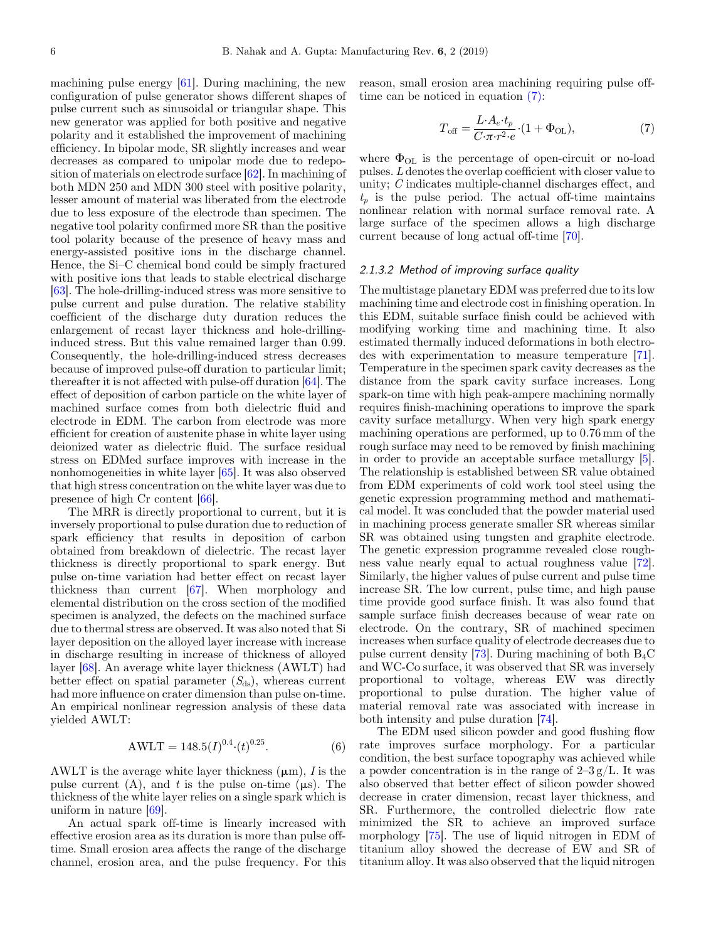machining pulse energy [61]. During machining, the new configuration of pulse generator shows different shapes of pulse current such as sinusoidal or triangular shape. This new generator was applied for both positive and negative polarity and it established the improvement of machining efficiency. In bipolar mode, SR slightly increases and wear decreases as compared to unipolar mode due to redeposition of materials on electrode surface [62]. In machining of both MDN 250 and MDN 300 steel with positive polarity, lesser amount of material was liberated from the electrode due to less exposure of the electrode than specimen. The negative tool polarity confirmed more SR than the positive tool polarity because of the presence of heavy mass and energy-assisted positive ions in the discharge channel. Hence, the Si–C chemical bond could be simply fractured with positive ions that leads to stable electrical discharge [63]. The hole-drilling-induced stress was more sensitive to pulse current and pulse duration. The relative stability coefficient of the discharge duty duration reduces the enlargement of recast layer thickness and hole-drillinginduced stress. But this value remained larger than 0.99. Consequently, the hole-drilling-induced stress decreases because of improved pulse-off duration to particular limit; thereafter it is not affected with pulse-off duration [64]. The effect of deposition of carbon particle on the white layer of machined surface comes from both dielectric fluid and electrode in EDM. The carbon from electrode was more efficient for creation of austenite phase in white layer using deionized water as dielectric fluid. The surface residual stress on EDMed surface improves with increase in the nonhomogeneities in white layer [65]. It was also observed that high stress concentration on the white layer was due to presence of high Cr content [66].

The MRR is directly proportional to current, but it is inversely proportional to pulse duration due to reduction of spark efficiency that results in deposition of carbon obtained from breakdown of dielectric. The recast layer thickness is directly proportional to spark energy. But pulse on-time variation had better effect on recast layer thickness than current [67]. When morphology and elemental distribution on the cross section of the modified specimen is analyzed, the defects on the machined surface due to thermal stress are observed. It was also noted that Si layer deposition on the alloyed layer increase with increase in discharge resulting in increase of thickness of alloyed layer [68]. An average white layer thickness (AWLT) had better effect on spatial parameter  $(S_{ds})$ , whereas current had more influence on crater dimension than pulse on-time. An empirical nonlinear regression analysis of these data yielded AWLT:

$$
AWLT = 148.5(I)^{0.4} \cdot (t)^{0.25}.
$$
 (6)

AWLT is the average white layer thickness  $(\mu m)$ , I is the pulse current (A), and t is the pulse on-time  $(\mu s)$ . The thickness of the white layer relies on a single spark which is uniform in nature [69].

An actual spark off-time is linearly increased with effective erosion area as its duration is more than pulse offtime. Small erosion area affects the range of the discharge channel, erosion area, and the pulse frequency. For this

reason, small erosion area machining requiring pulse offtime can be noticed in equation (7):

$$
T_{\text{off}} = \frac{L \cdot A_e \cdot t_p}{C \cdot \pi \cdot r^2 \cdot e} \cdot (1 + \Phi_{\text{OL}}),\tag{7}
$$

where  $\Phi_{OL}$  is the percentage of open-circuit or no-load pulses. L denotes the overlap coefficient with closer value to unity; C indicates multiple-channel discharges effect, and  $t_p$  is the pulse period. The actual off-time maintains nonlinear relation with normal surface removal rate. A large surface of the specimen allows a high discharge current because of long actual off-time [70].

#### 2.1.3.2 Method of improving surface quality

The multistage planetary EDM was preferred due to its low machining time and electrode cost in finishing operation. In this EDM, suitable surface finish could be achieved with modifying working time and machining time. It also estimated thermally induced deformations in both electrodes with experimentation to measure temperature [71]. Temperature in the specimen spark cavity decreases as the distance from the spark cavity surface increases. Long spark-on time with high peak-ampere machining normally requires finish-machining operations to improve the spark cavity surface metallurgy. When very high spark energy machining operations are performed, up to 0.76 mm of the rough surface may need to be removed by finish machining in order to provide an acceptable surface metallurgy [5]. The relationship is established between SR value obtained from EDM experiments of cold work tool steel using the genetic expression programming method and mathematical model. It was concluded that the powder material used in machining process generate smaller SR whereas similar SR was obtained using tungsten and graphite electrode. The genetic expression programme revealed close roughness value nearly equal to actual roughness value [72]. Similarly, the higher values of pulse current and pulse time increase SR. The low current, pulse time, and high pause time provide good surface finish. It was also found that sample surface finish decreases because of wear rate on electrode. On the contrary, SR of machined specimen increases when surface quality of electrode decreases due to pulse current density [73]. During machining of both  $B_4C$ and WC-Co surface, it was observed that SR was inversely proportional to voltage, whereas EW was directly proportional to pulse duration. The higher value of material removal rate was associated with increase in both intensity and pulse duration [74].

The EDM used silicon powder and good flushing flow rate improves surface morphology. For a particular condition, the best surface topography was achieved while a powder concentration is in the range of  $2-3 g/L$ . It was also observed that better effect of silicon powder showed decrease in crater dimension, recast layer thickness, and SR. Furthermore, the controlled dielectric flow rate minimized the SR to achieve an improved surface morphology [75]. The use of liquid nitrogen in EDM of titanium alloy showed the decrease of EW and SR of titanium alloy. It was also observed that the liquid nitrogen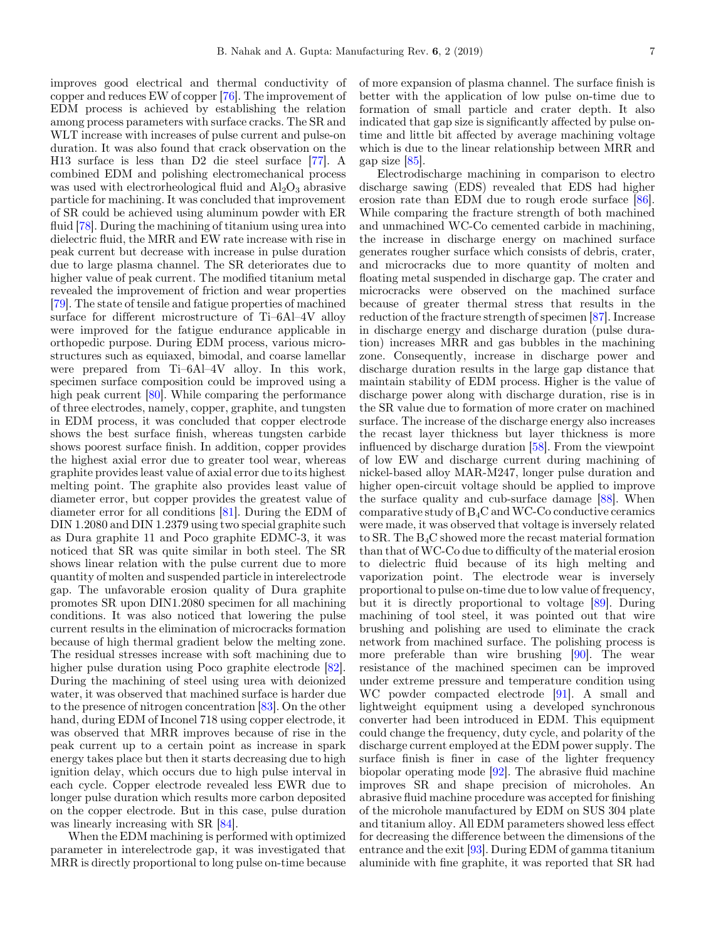improves good electrical and thermal conductivity of copper and reduces EW of copper [76]. The improvement of EDM process is achieved by establishing the relation among process parameters with surface cracks. The SR and WLT increase with increases of pulse current and pulse-on duration. It was also found that crack observation on the H13 surface is less than D2 die steel surface [77]. A combined EDM and polishing electromechanical process was used with electrorheological fluid and  $Al_2O_3$  abrasive particle for machining. It was concluded that improvement of SR could be achieved using aluminum powder with ER fluid [78]. During the machining of titanium using urea into dielectric fluid, the MRR and EW rate increase with rise in peak current but decrease with increase in pulse duration due to large plasma channel. The SR deteriorates due to higher value of peak current. The modified titanium metal revealed the improvement of friction and wear properties [79]. The state of tensile and fatigue properties of machined surface for different microstructure of Ti–6Al–4V alloy were improved for the fatigue endurance applicable in orthopedic purpose. During EDM process, various microstructures such as equiaxed, bimodal, and coarse lamellar were prepared from Ti–6Al–4V alloy. In this work, specimen surface composition could be improved using a high peak current [80]. While comparing the performance of three electrodes, namely, copper, graphite, and tungsten in EDM process, it was concluded that copper electrode shows the best surface finish, whereas tungsten carbide shows poorest surface finish. In addition, copper provides the highest axial error due to greater tool wear, whereas graphite provides least value of axial error due to its highest melting point. The graphite also provides least value of diameter error, but copper provides the greatest value of diameter error for all conditions [81]. During the EDM of DIN 1.2080 and DIN 1.2379 using two special graphite such as Dura graphite 11 and Poco graphite EDMC-3, it was noticed that SR was quite similar in both steel. The SR shows linear relation with the pulse current due to more quantity of molten and suspended particle in interelectrode gap. The unfavorable erosion quality of Dura graphite promotes SR upon DIN1.2080 specimen for all machining conditions. It was also noticed that lowering the pulse current results in the elimination of microcracks formation because of high thermal gradient below the melting zone. The residual stresses increase with soft machining due to higher pulse duration using Poco graphite electrode [82]. During the machining of steel using urea with deionized water, it was observed that machined surface is harder due to the presence of nitrogen concentration [83]. On the other hand, during EDM of Inconel 718 using copper electrode, it was observed that MRR improves because of rise in the peak current up to a certain point as increase in spark energy takes place but then it starts decreasing due to high ignition delay, which occurs due to high pulse interval in each cycle. Copper electrode revealed less EWR due to longer pulse duration which results more carbon deposited on the copper electrode. But in this case, pulse duration was linearly increasing with SR [84].

When the EDM machining is performed with optimized parameter in interelectrode gap, it was investigated that MRR is directly proportional to long pulse on-time because of more expansion of plasma channel. The surface finish is better with the application of low pulse on-time due to formation of small particle and crater depth. It also indicated that gap size is significantly affected by pulse ontime and little bit affected by average machining voltage which is due to the linear relationship between MRR and gap size [85].

Electrodischarge machining in comparison to electro discharge sawing (EDS) revealed that EDS had higher erosion rate than EDM due to rough erode surface [86]. While comparing the fracture strength of both machined and unmachined WC-Co cemented carbide in machining, the increase in discharge energy on machined surface generates rougher surface which consists of debris, crater, and microcracks due to more quantity of molten and floating metal suspended in discharge gap. The crater and microcracks were observed on the machined surface because of greater thermal stress that results in the reduction of the fracture strength of specimen [87]. Increase in discharge energy and discharge duration (pulse duration) increases MRR and gas bubbles in the machining zone. Consequently, increase in discharge power and discharge duration results in the large gap distance that maintain stability of EDM process. Higher is the value of discharge power along with discharge duration, rise is in the SR value due to formation of more crater on machined surface. The increase of the discharge energy also increases the recast layer thickness but layer thickness is more influenced by discharge duration [58]. From the viewpoint of low EW and discharge current during machining of nickel-based alloy MAR-M247, longer pulse duration and higher open-circuit voltage should be applied to improve the surface quality and cub-surface damage [88]. When comparative study of  $B_4C$  and WC-Co conductive ceramics were made, it was observed that voltage is inversely related to SR. The B4C showed more the recast material formation than that of WC-Co due to difficulty of the material erosion to dielectric fluid because of its high melting and vaporization point. The electrode wear is inversely proportional to pulse on-time due to low value of frequency, but it is directly proportional to voltage [89]. During machining of tool steel, it was pointed out that wire brushing and polishing are used to eliminate the crack network from machined surface. The polishing process is more preferable than wire brushing [90]. The wear resistance of the machined specimen can be improved under extreme pressure and temperature condition using WC powder compacted electrode [91]. A small and lightweight equipment using a developed synchronous converter had been introduced in EDM. This equipment could change the frequency, duty cycle, and polarity of the discharge current employed at the EDM power supply. The surface finish is finer in case of the lighter frequency biopolar operating mode [92]. The abrasive fluid machine improves SR and shape precision of microholes. An abrasive fluid machine procedure was accepted for finishing of the microhole manufactured by EDM on SUS 304 plate and titanium alloy. All EDM parameters showed less effect for decreasing the difference between the dimensions of the entrance and the exit [93]. During EDM of gamma titanium aluminide with fine graphite, it was reported that SR had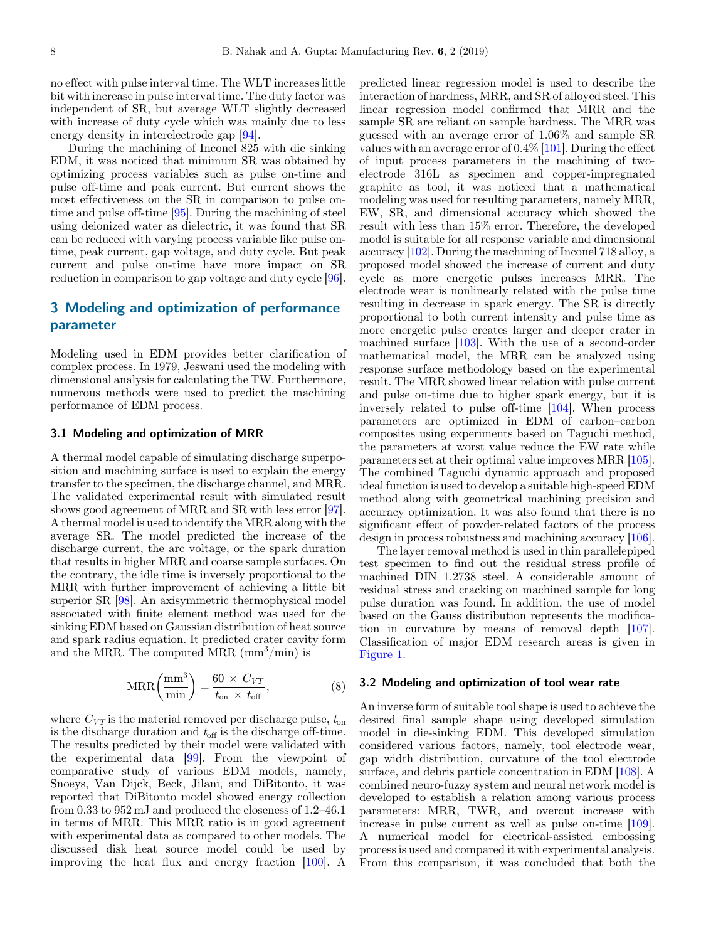no effect with pulse interval time. The WLT increases little bit with increase in pulse interval time. The duty factor was independent of SR, but average WLT slightly decreased with increase of duty cycle which was mainly due to less energy density in interelectrode gap [94].

During the machining of Inconel 825 with die sinking EDM, it was noticed that minimum SR was obtained by optimizing process variables such as pulse on-time and pulse off-time and peak current. But current shows the most effectiveness on the SR in comparison to pulse ontime and pulse off-time [95]. During the machining of steel using deionized water as dielectric, it was found that SR can be reduced with varying process variable like pulse ontime, peak current, gap voltage, and duty cycle. But peak current and pulse on-time have more impact on SR reduction in comparison to gap voltage and duty cycle [96].

# 3 Modeling and optimization of performance parameter

Modeling used in EDM provides better clarification of complex process. In 1979, Jeswani used the modeling with dimensional analysis for calculating the TW. Furthermore, numerous methods were used to predict the machining performance of EDM process.

## 3.1 Modeling and optimization of MRR

A thermal model capable of simulating discharge superposition and machining surface is used to explain the energy transfer to the specimen, the discharge channel, and MRR. The validated experimental result with simulated result shows good agreement of MRR and SR with less error [97]. A thermal model is used to identify the MRR along with the average SR. The model predicted the increase of the discharge current, the arc voltage, or the spark duration that results in higher MRR and coarse sample surfaces. On the contrary, the idle time is inversely proportional to the MRR with further improvement of achieving a little bit superior SR [98]. An axisymmetric thermophysical model associated with finite element method was used for die sinking EDM based on Gaussian distribution of heat source and spark radius equation. It predicted crater cavity form and the MRR. The computed MRR  $(\text{mm}^3/\text{min})$  is

$$
MRR\left(\frac{\text{mm}^3}{\text{min}}\right) = \frac{60 \times C_{VT}}{t_{\text{on}} \times t_{\text{off}}},\tag{8}
$$

where  $C_{VT}$  is the material removed per discharge pulse,  $t_{on}$ is the discharge duration and  $t_{\text{off}}$  is the discharge off-time. The results predicted by their model were validated with the experimental data [99]. From the viewpoint of comparative study of various EDM models, namely, Snoeys, Van Dijck, Beck, Jilani, and DiBitonto, it was reported that DiBitonto model showed energy collection from 0.33 to 952 mJ and produced the closeness of 1.2–46.1 in terms of MRR. This MRR ratio is in good agreement with experimental data as compared to other models. The discussed disk heat source model could be used by improving the heat flux and energy fraction [100]. A

predicted linear regression model is used to describe the interaction of hardness, MRR, and SR of alloyed steel. This linear regression model confirmed that MRR and the sample SR are reliant on sample hardness. The MRR was guessed with an average error of 1.06% and sample SR values with an average error of 0.4% [101]. During the effect of input process parameters in the machining of twoelectrode 316L as specimen and copper-impregnated graphite as tool, it was noticed that a mathematical modeling was used for resulting parameters, namely MRR, EW, SR, and dimensional accuracy which showed the result with less than 15% error. Therefore, the developed model is suitable for all response variable and dimensional accuracy [102]. During the machining of Inconel 718 alloy, a proposed model showed the increase of current and duty cycle as more energetic pulses increases MRR. The electrode wear is nonlinearly related with the pulse time resulting in decrease in spark energy. The SR is directly proportional to both current intensity and pulse time as more energetic pulse creates larger and deeper crater in machined surface [103]. With the use of a second-order mathematical model, the MRR can be analyzed using response surface methodology based on the experimental result. The MRR showed linear relation with pulse current and pulse on-time due to higher spark energy, but it is inversely related to pulse off-time [104]. When process parameters are optimized in EDM of carbon–carbon composites using experiments based on Taguchi method, the parameters at worst value reduce the EW rate while parameters set at their optimal value improves MRR [105]. The combined Taguchi dynamic approach and proposed ideal function is used to develop a suitable high-speed EDM method along with geometrical machining precision and accuracy optimization. It was also found that there is no significant effect of powder-related factors of the process design in process robustness and machining accuracy [106].

The layer removal method is used in thin parallelepiped test specimen to find out the residual stress profile of machined DIN 1.2738 steel. A considerable amount of residual stress and cracking on machined sample for long pulse duration was found. In addition, the use of model based on the Gauss distribution represents the modification in curvature by means of removal depth [107]. Classification of major EDM research areas is given in Figure 1.

### 3.2 Modeling and optimization of tool wear rate

An inverse form of suitable tool shape is used to achieve the desired final sample shape using developed simulation model in die-sinking EDM. This developed simulation considered various factors, namely, tool electrode wear, gap width distribution, curvature of the tool electrode surface, and debris particle concentration in EDM [108]. A combined neuro-fuzzy system and neural network model is developed to establish a relation among various process parameters: MRR, TWR, and overcut increase with increase in pulse current as well as pulse on-time [109]. A numerical model for electrical-assisted embossing process is used and compared it with experimental analysis. From this comparison, it was concluded that both the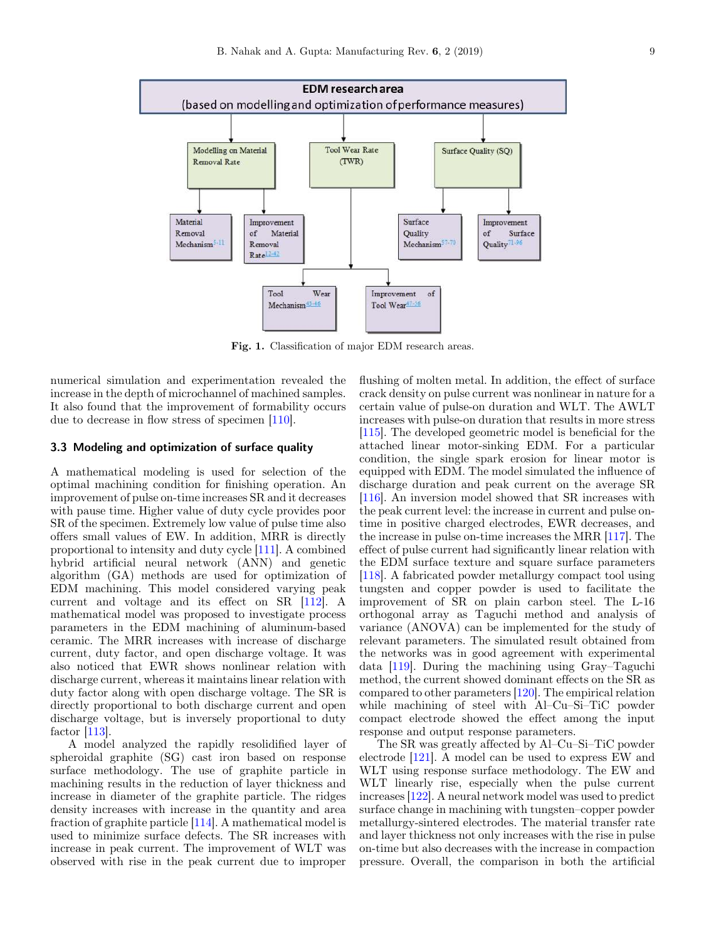

Fig. 1. Classification of major EDM research areas.

numerical simulation and experimentation revealed the increase in the depth of microchannel of machined samples. It also found that the improvement of formability occurs due to decrease in flow stress of specimen [110].

#### 3.3 Modeling and optimization of surface quality

A mathematical modeling is used for selection of the optimal machining condition for finishing operation. An improvement of pulse on-time increases SR and it decreases with pause time. Higher value of duty cycle provides poor SR of the specimen. Extremely low value of pulse time also offers small values of EW. In addition, MRR is directly proportional to intensity and duty cycle [111]. A combined hybrid artificial neural network (ANN) and genetic algorithm (GA) methods are used for optimization of EDM machining. This model considered varying peak current and voltage and its effect on SR [112]. A mathematical model was proposed to investigate process parameters in the EDM machining of aluminum-based ceramic. The MRR increases with increase of discharge current, duty factor, and open discharge voltage. It was also noticed that EWR shows nonlinear relation with discharge current, whereas it maintains linear relation with duty factor along with open discharge voltage. The SR is directly proportional to both discharge current and open discharge voltage, but is inversely proportional to duty factor [113].

A model analyzed the rapidly resolidified layer of spheroidal graphite (SG) cast iron based on response surface methodology. The use of graphite particle in machining results in the reduction of layer thickness and increase in diameter of the graphite particle. The ridges density increases with increase in the quantity and area fraction of graphite particle [114]. A mathematical model is used to minimize surface defects. The SR increases with increase in peak current. The improvement of WLT was observed with rise in the peak current due to improper

flushing of molten metal. In addition, the effect of surface crack density on pulse current was nonlinear in nature for a certain value of pulse-on duration and WLT. The AWLT increases with pulse-on duration that results in more stress [115]. The developed geometric model is beneficial for the attached linear motor-sinking EDM. For a particular condition, the single spark erosion for linear motor is equipped with EDM. The model simulated the influence of discharge duration and peak current on the average SR [116]. An inversion model showed that SR increases with the peak current level: the increase in current and pulse ontime in positive charged electrodes, EWR decreases, and the increase in pulse on-time increases the MRR [117]. The effect of pulse current had significantly linear relation with the EDM surface texture and square surface parameters [118]. A fabricated powder metallurgy compact tool using tungsten and copper powder is used to facilitate the improvement of SR on plain carbon steel. The L-16 orthogonal array as Taguchi method and analysis of variance (ANOVA) can be implemented for the study of relevant parameters. The simulated result obtained from the networks was in good agreement with experimental data [119]. During the machining using Gray–Taguchi method, the current showed dominant effects on the SR as compared to other parameters [120]. The empirical relation while machining of steel with Al–Cu–Si–TiC powder compact electrode showed the effect among the input response and output response parameters.

The SR was greatly affected by Al–Cu–Si–TiC powder electrode [121]. A model can be used to express EW and WLT using response surface methodology. The EW and WLT linearly rise, especially when the pulse current increases [122]. A neural network model was used to predict surface change in machining with tungsten–copper powder metallurgy-sintered electrodes. The material transfer rate and layer thickness not only increases with the rise in pulse on-time but also decreases with the increase in compaction pressure. Overall, the comparison in both the artificial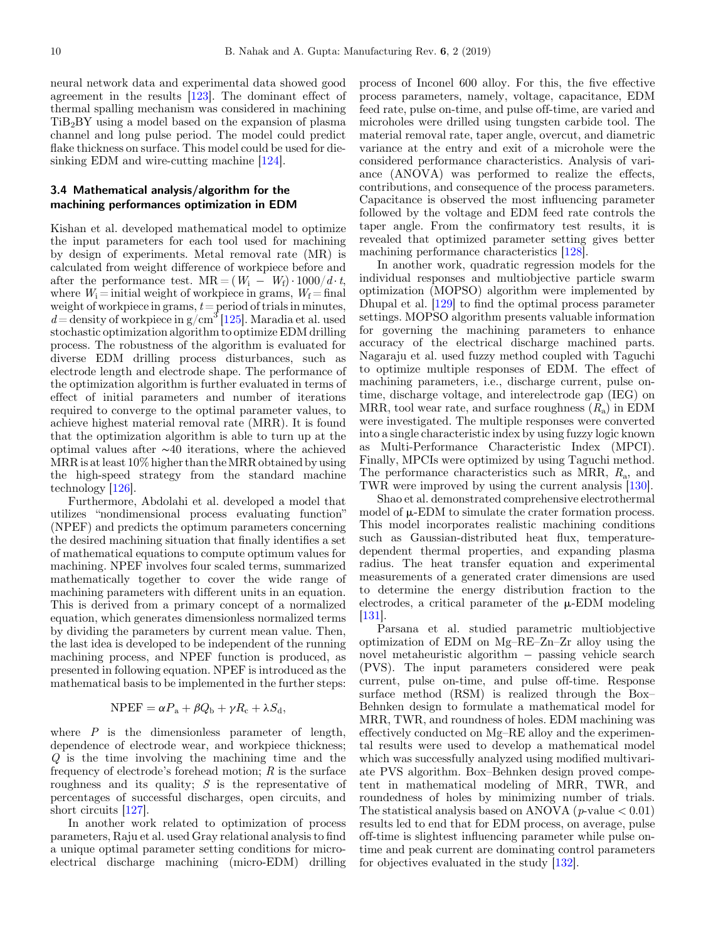neural network data and experimental data showed good agreement in the results [123]. The dominant effect of thermal spalling mechanism was considered in machining TiB<sub>2</sub>BY using a model based on the expansion of plasma channel and long pulse period. The model could predict flake thickness on surface. This model could be used for diesinking EDM and wire-cutting machine [124].

# 3.4 Mathematical analysis/algorithm for the machining performances optimization in EDM

Kishan et al. developed mathematical model to optimize the input parameters for each tool used for machining by design of experiments. Metal removal rate (MR) is calculated from weight difference of workpiece before and after the performance test.  $MR = (W_i - W_f) \cdot 1000/d \cdot t$ , where  $W_i$  = initial weight of workpiece in grams,  $W_f$  = final weight of workpiece in grams,  $t =$  period of trials in minutes,  $d =$  density of workpiece in  $g/cm^3$  [125]. Maradia et al. used stochastic optimization algorithm to optimize EDM drilling process. The robustness of the algorithm is evaluated for diverse EDM drilling process disturbances, such as electrode length and electrode shape. The performance of the optimization algorithm is further evaluated in terms of effect of initial parameters and number of iterations required to converge to the optimal parameter values, to achieve highest material removal rate (MRR). It is found that the optimization algorithm is able to turn up at the optimal values after ∼40 iterations, where the achieved MRR is at least 10% higher than theMRR obtained by using the high-speed strategy from the standard machine technology [126].

Furthermore, Abdolahi et al. developed a model that utilizes "nondimensional process evaluating function" (NPEF) and predicts the optimum parameters concerning the desired machining situation that finally identifies a set of mathematical equations to compute optimum values for machining. NPEF involves four scaled terms, summarized mathematically together to cover the wide range of machining parameters with different units in an equation. This is derived from a primary concept of a normalized equation, which generates dimensionless normalized terms by dividing the parameters by current mean value. Then, the last idea is developed to be independent of the running machining process, and NPEF function is produced, as presented in following equation. NPEF is introduced as the mathematical basis to be implemented in the further steps:

$$
NPEF = \alpha P_a + \beta Q_b + \gamma R_c + \lambda S_d,
$$

where  $P$  is the dimensionless parameter of length, dependence of electrode wear, and workpiece thickness; Q is the time involving the machining time and the frequency of electrode's forehead motion;  $R$  is the surface roughness and its quality;  $S$  is the representative of percentages of successful discharges, open circuits, and short circuits [127].

In another work related to optimization of process parameters, Raju et al. used Gray relational analysis to find a unique optimal parameter setting conditions for microelectrical discharge machining (micro-EDM) drilling process of Inconel 600 alloy. For this, the five effective process parameters, namely, voltage, capacitance, EDM feed rate, pulse on-time, and pulse off-time, are varied and microholes were drilled using tungsten carbide tool. The material removal rate, taper angle, overcut, and diametric variance at the entry and exit of a microhole were the considered performance characteristics. Analysis of variance (ANOVA) was performed to realize the effects, contributions, and consequence of the process parameters. Capacitance is observed the most influencing parameter followed by the voltage and EDM feed rate controls the taper angle. From the confirmatory test results, it is revealed that optimized parameter setting gives better machining performance characteristics [128].

In another work, quadratic regression models for the individual responses and multiobjective particle swarm optimization (MOPSO) algorithm were implemented by Dhupal et al. [129] to find the optimal process parameter settings. MOPSO algorithm presents valuable information for governing the machining parameters to enhance accuracy of the electrical discharge machined parts. Nagaraju et al. used fuzzy method coupled with Taguchi to optimize multiple responses of EDM. The effect of machining parameters, i.e., discharge current, pulse ontime, discharge voltage, and interelectrode gap (IEG) on MRR, tool wear rate, and surface roughness  $(R_a)$  in EDM were investigated. The multiple responses were converted into a single characteristic index by using fuzzy logic known as Multi-Performance Characteristic Index (MPCI). Finally, MPCIs were optimized by using Taguchi method. The performance characteristics such as MRR,  $R_{\rm a}$ , and TWR were improved by using the current analysis [130].

Shao et al. demonstrated comprehensive electrothermal model of  $\mu$ -EDM to simulate the crater formation process. This model incorporates realistic machining conditions such as Gaussian-distributed heat flux, temperaturedependent thermal properties, and expanding plasma radius. The heat transfer equation and experimental measurements of a generated crater dimensions are used to determine the energy distribution fraction to the electrodes, a critical parameter of the  $\mu$ -EDM modeling [131].

Parsana et al. studied parametric multiobjective optimization of EDM on Mg–RE–Zn–Zr alloy using the novel metaheuristic algorithm - passing vehicle search (PVS). The input parameters considered were peak current, pulse on-time, and pulse off-time. Response surface method (RSM) is realized through the Box– Behnken design to formulate a mathematical model for MRR, TWR, and roundness of holes. EDM machining was effectively conducted on Mg–RE alloy and the experimental results were used to develop a mathematical model which was successfully analyzed using modified multivariate PVS algorithm. Box–Behnken design proved competent in mathematical modeling of MRR, TWR, and roundedness of holes by minimizing number of trials. The statistical analysis based on ANOVA ( $p$ -value  $< 0.01$ ) results led to end that for EDM process, on average, pulse off-time is slightest influencing parameter while pulse ontime and peak current are dominating control parameters for objectives evaluated in the study [132].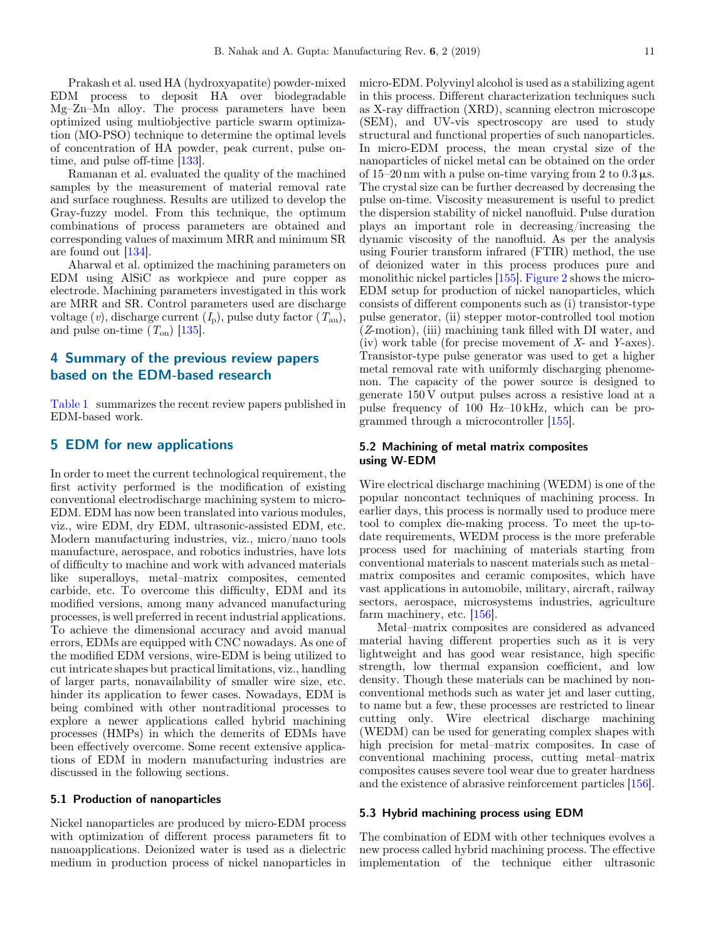Prakash et al. used HA (hydroxyapatite) powder-mixed EDM process to deposit HA over biodegradable Mg–Zn–Mn alloy. The process parameters have been optimized using multiobjective particle swarm optimization (MO-PSO) technique to determine the optimal levels of concentration of HA powder, peak current, pulse ontime, and pulse off-time [133].

Ramanan et al. evaluated the quality of the machined samples by the measurement of material removal rate and surface roughness. Results are utilized to develop the Gray-fuzzy model. From this technique, the optimum combinations of process parameters are obtained and corresponding values of maximum MRR and minimum SR are found out [134].

Aharwal et al. optimized the machining parameters on EDM using AlSiC as workpiece and pure copper as electrode. Machining parameters investigated in this work are MRR and SR. Control parameters used are discharge voltage  $(v)$ , discharge current  $(I_p)$ , pulse duty factor  $(T_{\text{au}})$ , and pulse on-time  $(T_{on})$  [135].

# 4 Summary of the previous review papers based on the EDM-based research

Table 1 summarizes the recent review papers published in EDM-based work.

# 5 EDM for new applications

In order to meet the current technological requirement, the first activity performed is the modification of existing conventional electrodischarge machining system to micro-EDM. EDM has now been translated into various modules, viz., wire EDM, dry EDM, ultrasonic-assisted EDM, etc. Modern manufacturing industries, viz., micro/nano tools manufacture, aerospace, and robotics industries, have lots of difficulty to machine and work with advanced materials like superalloys, metal–matrix composites, cemented carbide, etc. To overcome this difficulty, EDM and its modified versions, among many advanced manufacturing processes, is well preferred in recent industrial applications. To achieve the dimensional accuracy and avoid manual errors, EDMs are equipped with CNC nowadays. As one of the modified EDM versions, wire-EDM is being utilized to cut intricate shapes but practical limitations, viz., handling of larger parts, nonavailability of smaller wire size, etc. hinder its application to fewer cases. Nowadays, EDM is being combined with other nontraditional processes to explore a newer applications called hybrid machining processes (HMPs) in which the demerits of EDMs have been effectively overcome. Some recent extensive applications of EDM in modern manufacturing industries are discussed in the following sections.

# 5.1 Production of nanoparticles

Nickel nanoparticles are produced by micro-EDM process with optimization of different process parameters fit to nanoapplications. Deionized water is used as a dielectric medium in production process of nickel nanoparticles in micro-EDM. Polyvinyl alcohol is used as a stabilizing agent in this process. Different characterization techniques such as X-ray diffraction (XRD), scanning electron microscope (SEM), and UV-vis spectroscopy are used to study structural and functional properties of such nanoparticles. In micro-EDM process, the mean crystal size of the nanoparticles of nickel metal can be obtained on the order of 15–20 nm with a pulse on-time varying from 2 to  $0.3 \,\mu s$ . The crystal size can be further decreased by decreasing the pulse on-time. Viscosity measurement is useful to predict the dispersion stability of nickel nanofluid. Pulse duration plays an important role in decreasing/increasing the dynamic viscosity of the nanofluid. As per the analysis using Fourier transform infrared (FTIR) method, the use of deionized water in this process produces pure and monolithic nickel particles [155]. Figure 2 shows the micro-EDM setup for production of nickel nanoparticles, which consists of different components such as (i) transistor-type pulse generator, (ii) stepper motor-controlled tool motion (Z-motion), (iii) machining tank filled with DI water, and (iv) work table (for precise movement of X- and Y-axes). Transistor-type pulse generator was used to get a higher metal removal rate with uniformly discharging phenomenon. The capacity of the power source is designed to generate 150 V output pulses across a resistive load at a pulse frequency of 100 Hz–10 kHz, which can be programmed through a microcontroller [155].

# 5.2 Machining of metal matrix composites using W-EDM

Wire electrical discharge machining (WEDM) is one of the popular noncontact techniques of machining process. In earlier days, this process is normally used to produce mere tool to complex die-making process. To meet the up-todate requirements, WEDM process is the more preferable process used for machining of materials starting from conventional materials to nascent materials such as metal– matrix composites and ceramic composites, which have vast applications in automobile, military, aircraft, railway sectors, aerospace, microsystems industries, agriculture farm machinery, etc. [156].

Metal–matrix composites are considered as advanced material having different properties such as it is very lightweight and has good wear resistance, high specific strength, low thermal expansion coefficient, and low density. Though these materials can be machined by nonconventional methods such as water jet and laser cutting, to name but a few, these processes are restricted to linear cutting only. Wire electrical discharge machining (WEDM) can be used for generating complex shapes with high precision for metal–matrix composites. In case of conventional machining process, cutting metal–matrix composites causes severe tool wear due to greater hardness and the existence of abrasive reinforcement particles [156].

#### 5.3 Hybrid machining process using EDM

The combination of EDM with other techniques evolves a new process called hybrid machining process. The effective implementation of the technique either ultrasonic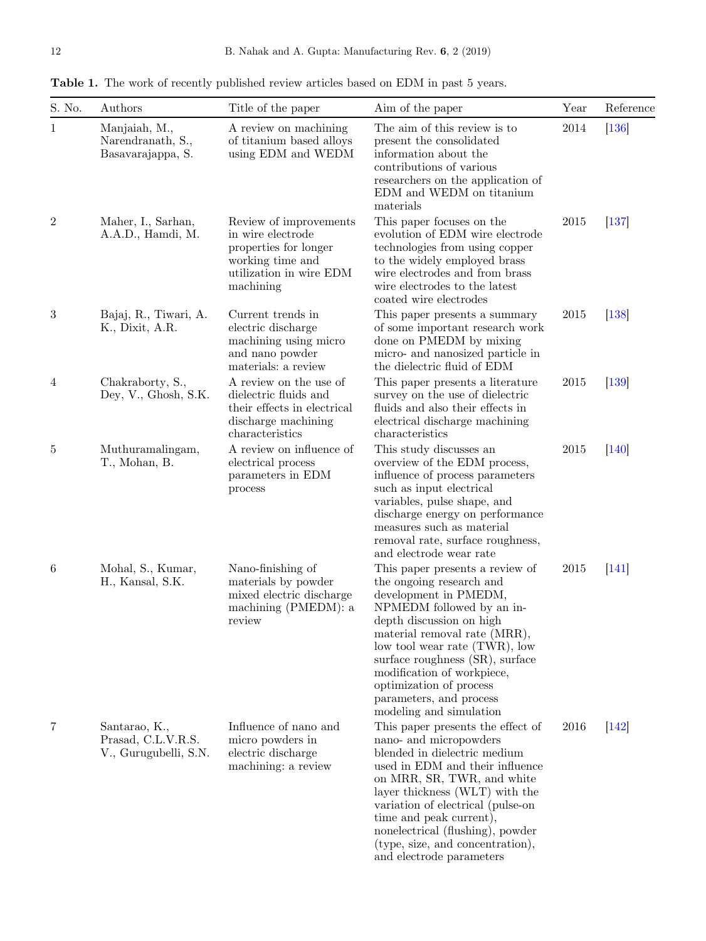| S. No. | Authors                                                      | Title of the paper                                                                                                               | Aim of the paper                                                                                                                                                                                                                                                                                                                                                    | Year | Reference |
|--------|--------------------------------------------------------------|----------------------------------------------------------------------------------------------------------------------------------|---------------------------------------------------------------------------------------------------------------------------------------------------------------------------------------------------------------------------------------------------------------------------------------------------------------------------------------------------------------------|------|-----------|
| 1      | Manjaiah, M.,<br>Narendranath, S.,<br>Basavarajappa, S.      | A review on machining<br>of titanium based alloys<br>using EDM and WEDM                                                          | The aim of this review is to<br>present the consolidated<br>information about the<br>contributions of various<br>researchers on the application of<br>EDM and WEDM on titanium<br>materials                                                                                                                                                                         | 2014 | $[136]$   |
| 2      | Maher, I., Sarhan,<br>A.A.D., Hamdi, M.                      | Review of improvements<br>in wire electrode<br>properties for longer<br>working time and<br>utilization in wire EDM<br>machining | This paper focuses on the<br>evolution of EDM wire electrode<br>technologies from using copper<br>to the widely employed brass<br>wire electrodes and from brass<br>wire electrodes to the latest<br>coated wire electrodes                                                                                                                                         | 2015 | $[137]$   |
| 3      | Bajaj, R., Tiwari, A.<br>K., Dixit, A.R.                     | Current trends in<br>electric discharge<br>machining using micro<br>and nano powder<br>materials: a review                       | This paper presents a summary<br>of some important research work<br>done on PMEDM by mixing<br>micro- and nanosized particle in<br>the dielectric fluid of EDM                                                                                                                                                                                                      | 2015 | $[138]$   |
| 4      | Chakraborty, S.,<br>Dey, V., Ghosh, S.K.                     | A review on the use of<br>dielectric fluids and<br>their effects in electrical<br>discharge machining<br>characteristics         | This paper presents a literature<br>survey on the use of dielectric<br>fluids and also their effects in<br>electrical discharge machining<br>characteristics                                                                                                                                                                                                        | 2015 | $[139]$   |
| 5      | Muthuramalingam,<br>T., Mohan, B.                            | A review on influence of<br>electrical process<br>parameters in EDM<br>process                                                   | This study discusses an<br>overview of the EDM process,<br>influence of process parameters<br>such as input electrical<br>variables, pulse shape, and<br>discharge energy on performance<br>measures such as material<br>removal rate, surface roughness,<br>and electrode wear rate                                                                                | 2015 | $[140]$   |
| 6      | Mohal, S., Kumar,<br>H., Kansal, S.K.                        | Nano-finishing of<br>materials by powder<br>mixed electric discharge<br>machining (PMEDM): a<br>review                           | This paper presents a review of<br>the ongoing research and<br>development in PMEDM,<br>NPMEDM followed by an in-<br>depth discussion on high<br>material removal rate (MRR),<br>low tool wear rate (TWR), low<br>surface roughness $(SR)$ , surface<br>modification of workpiece,<br>optimization of process<br>parameters, and process<br>modeling and simulation | 2015 | $[141]$   |
| 7      | Santarao, K.,<br>Prasad, C.L.V.R.S.<br>V., Gurugubelli, S.N. | Influence of nano and<br>micro powders in<br>electric discharge<br>machining: a review                                           | This paper presents the effect of<br>nano- and micropowders<br>blended in dielectric medium<br>used in EDM and their influence<br>on MRR, SR, TWR, and white<br>layer thickness (WLT) with the<br>variation of electrical (pulse-on<br>time and peak current),<br>nonelectrical (flushing), powder<br>(type, size, and concentration),<br>and electrode parameters  | 2016 | $[142]$   |

Table 1. The work of recently published review articles based on EDM in past 5 years.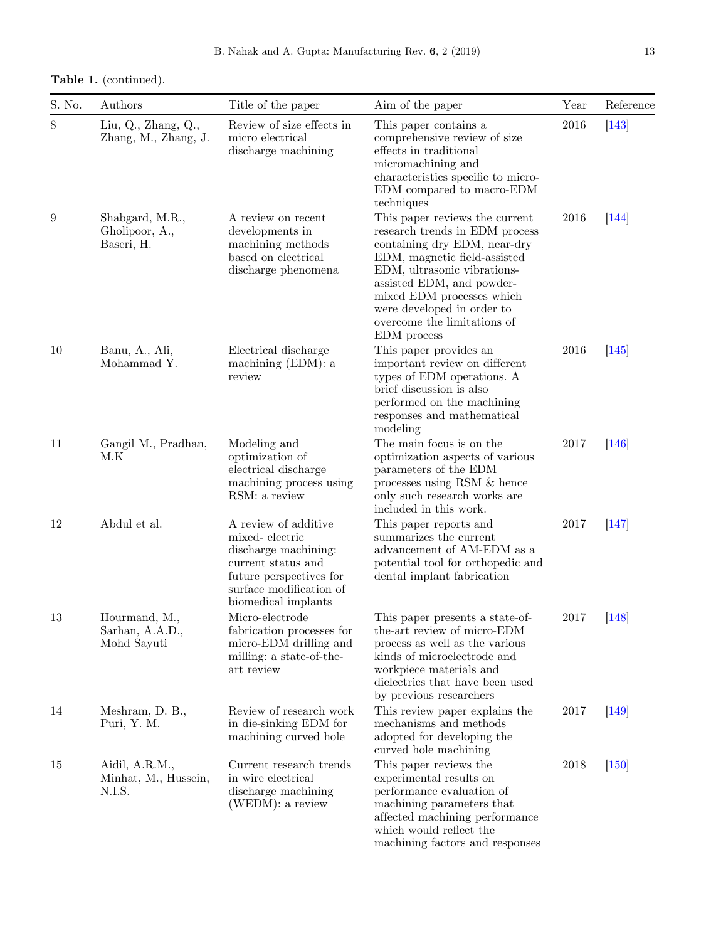Table 1. (continued).

| S. No. | Authors                                                         | Title of the paper                                                                                                                                                | Aim of the paper                                                                                                                                                                                                                                                                                      | Year | Reference |
|--------|-----------------------------------------------------------------|-------------------------------------------------------------------------------------------------------------------------------------------------------------------|-------------------------------------------------------------------------------------------------------------------------------------------------------------------------------------------------------------------------------------------------------------------------------------------------------|------|-----------|
| $8\,$  | Liu, $Q_{\cdot}$ , Zhang, $Q_{\cdot}$ ,<br>Zhang, M., Zhang, J. | Review of size effects in<br>micro electrical<br>discharge machining                                                                                              | This paper contains a<br>comprehensive review of size<br>effects in traditional<br>micromachining and<br>characteristics specific to micro-<br>EDM compared to macro-EDM<br>techniques                                                                                                                | 2016 | $[143]$   |
| 9      | Shabgard, M.R.,<br>Gholipoor, A.,<br>Baseri, H.                 | A review on recent<br>developments in<br>machining methods<br>based on electrical<br>discharge phenomena                                                          | This paper reviews the current<br>research trends in EDM process<br>containing dry EDM, near-dry<br>EDM, magnetic field-assisted<br>EDM, ultrasonic vibrations-<br>assisted EDM, and powder-<br>mixed EDM processes which<br>were developed in order to<br>overcome the limitations of<br>EDM process | 2016 | $[144]$   |
| 10     | Banu, A., Ali,<br>Mohammad Y.                                   | Electrical discharge<br>machining $(EDM):$ a<br>review                                                                                                            | This paper provides an<br>important review on different<br>types of EDM operations. A<br>brief discussion is also<br>performed on the machining<br>responses and mathematical<br>modeling                                                                                                             | 2016 | $[145]$   |
| 11     | Gangil M., Pradhan,<br>M.K                                      | Modeling and<br>optimization of<br>electrical discharge<br>machining process using<br>RSM: a review                                                               | The main focus is on the<br>optimization aspects of various<br>parameters of the EDM<br>processes using RSM & hence<br>only such research works are<br>included in this work.                                                                                                                         | 2017 | $[146]$   |
| 12     | Abdul et al.                                                    | A review of additive<br>mixed-electric<br>discharge machining:<br>current status and<br>future perspectives for<br>surface modification of<br>biomedical implants | This paper reports and<br>summarizes the current<br>advancement of AM-EDM as a<br>potential tool for orthopedic and<br>dental implant fabrication                                                                                                                                                     | 2017 | $[147]$   |
| 13     | Hourmand, M.,<br>Sarhan, A.A.D.,<br>Mohd Sayuti                 | Micro-electrode<br>fabrication processes for<br>micro-EDM drilling and<br>milling: a state-of-the-<br>art review                                                  | This paper presents a state-of-<br>the-art review of micro-EDM<br>process as well as the various<br>kinds of microelectrode and<br>workpiece materials and<br>dielectrics that have been used<br>by previous researchers                                                                              | 2017 | $[148]$   |
| 14     | Meshram, D. B.,<br>Puri, Y. M.                                  | Review of research work<br>in die-sinking EDM for<br>machining curved hole                                                                                        | This review paper explains the<br>mechanisms and methods<br>adopted for developing the<br>curved hole machining                                                                                                                                                                                       | 2017 | $[149]$   |
| 15     | Aidil, A.R.M.,<br>Minhat, M., Hussein,<br>N.I.S.                | Current research trends<br>in wire electrical<br>discharge machining<br>(WEDM): a review                                                                          | This paper reviews the<br>experimental results on<br>performance evaluation of<br>machining parameters that<br>affected machining performance<br>which would reflect the<br>machining factors and responses                                                                                           | 2018 | $[150]$   |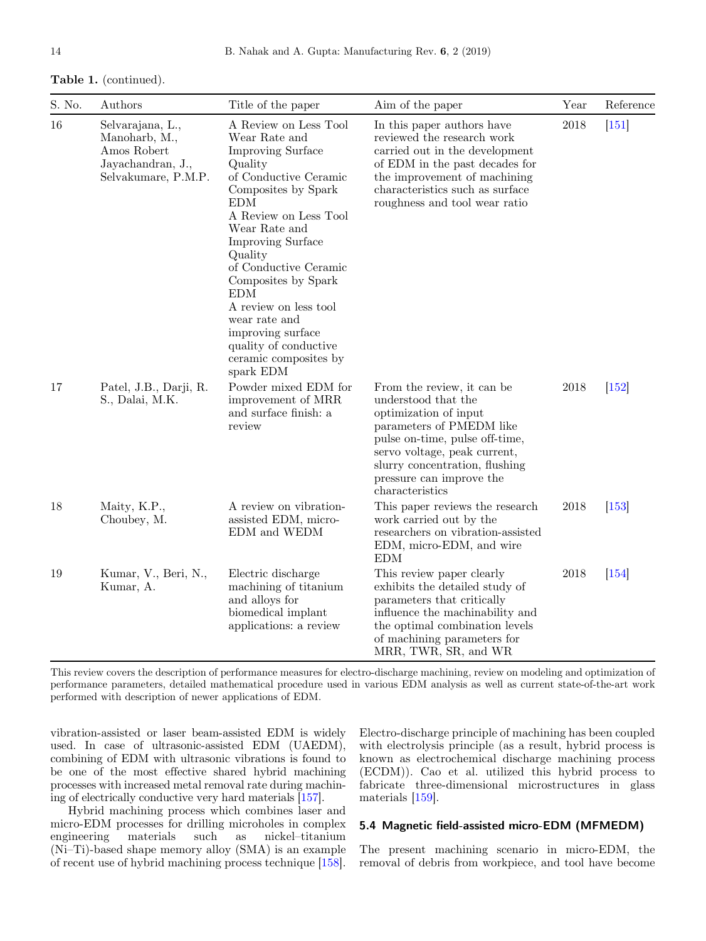Table 1. (continued).

| S. No. | Authors                                                                                      | Title of the paper                                                                                                                                                                                                                                                                                                                                                                                                       | Aim of the paper                                                                                                                                                                                                                                          | Year | Reference |
|--------|----------------------------------------------------------------------------------------------|--------------------------------------------------------------------------------------------------------------------------------------------------------------------------------------------------------------------------------------------------------------------------------------------------------------------------------------------------------------------------------------------------------------------------|-----------------------------------------------------------------------------------------------------------------------------------------------------------------------------------------------------------------------------------------------------------|------|-----------|
| 16     | Selvarajana, L.,<br>Manoharb, M.,<br>Amos Robert<br>Jayachandran, J.,<br>Selvakumare, P.M.P. | A Review on Less Tool<br>Wear Rate and<br><b>Improving Surface</b><br>Quality<br>of Conductive Ceramic<br>Composites by Spark<br><b>EDM</b><br>A Review on Less Tool<br>Wear Rate and<br><b>Improving Surface</b><br>Quality<br>of Conductive Ceramic<br>Composites by Spark<br><b>EDM</b><br>A review on less tool<br>wear rate and<br>improving surface<br>quality of conductive<br>ceramic composites by<br>spark EDM | In this paper authors have<br>reviewed the research work<br>carried out in the development<br>of EDM in the past decades for<br>the improvement of machining<br>characteristics such as surface<br>roughness and tool wear ratio                          | 2018 | $[151]$   |
| 17     | Patel, J.B., Darji, R.<br>S., Dalai, M.K.                                                    | Powder mixed EDM for<br>improvement of MRR<br>and surface finish: a<br>review                                                                                                                                                                                                                                                                                                                                            | From the review, it can be<br>understood that the<br>optimization of input<br>parameters of PMEDM like<br>pulse on-time, pulse off-time,<br>servo voltage, peak current,<br>slurry concentration, flushing<br>pressure can improve the<br>characteristics | 2018 | $[152]$   |
| 18     | Maity, K.P.,<br>Choubey, M.                                                                  | A review on vibration-<br>assisted EDM, micro-<br>EDM and WEDM                                                                                                                                                                                                                                                                                                                                                           | This paper reviews the research<br>work carried out by the<br>researchers on vibration-assisted<br>EDM, micro-EDM, and wire<br><b>EDM</b>                                                                                                                 | 2018 | $[153]$   |
| 19     | Kumar, V., Beri, N.,<br>Kumar, A.                                                            | Electric discharge<br>machining of titanium<br>and alloys for<br>biomedical implant<br>applications: a review                                                                                                                                                                                                                                                                                                            | This review paper clearly<br>exhibits the detailed study of<br>parameters that critically<br>influence the machinability and<br>the optimal combination levels<br>of machining parameters for<br>MRR, TWR, SR, and WR                                     | 2018 | $[154]$   |

This review covers the description of performance measures for electro-discharge machining, review on modeling and optimization of performance parameters, detailed mathematical procedure used in various EDM analysis as well as current state-of-the-art work performed with description of newer applications of EDM.

vibration-assisted or laser beam-assisted EDM is widely used. In case of ultrasonic-assisted EDM (UAEDM), combining of EDM with ultrasonic vibrations is found to be one of the most effective shared hybrid machining processes with increased metal removal rate during machining of electrically conductive very hard materials [157].

Hybrid machining process which combines laser and micro-EDM processes for drilling microholes in complex engineering materials such as nickel–titanium (Ni–Ti)-based shape memory alloy (SMA) is an example of recent use of hybrid machining process technique [158].

Electro-discharge principle of machining has been coupled with electrolysis principle (as a result, hybrid process is known as electrochemical discharge machining process (ECDM)). Cao et al. utilized this hybrid process to fabricate three-dimensional microstructures in glass materials [159].

# 5.4 Magnetic field-assisted micro-EDM (MFMEDM)

The present machining scenario in micro-EDM, the removal of debris from workpiece, and tool have become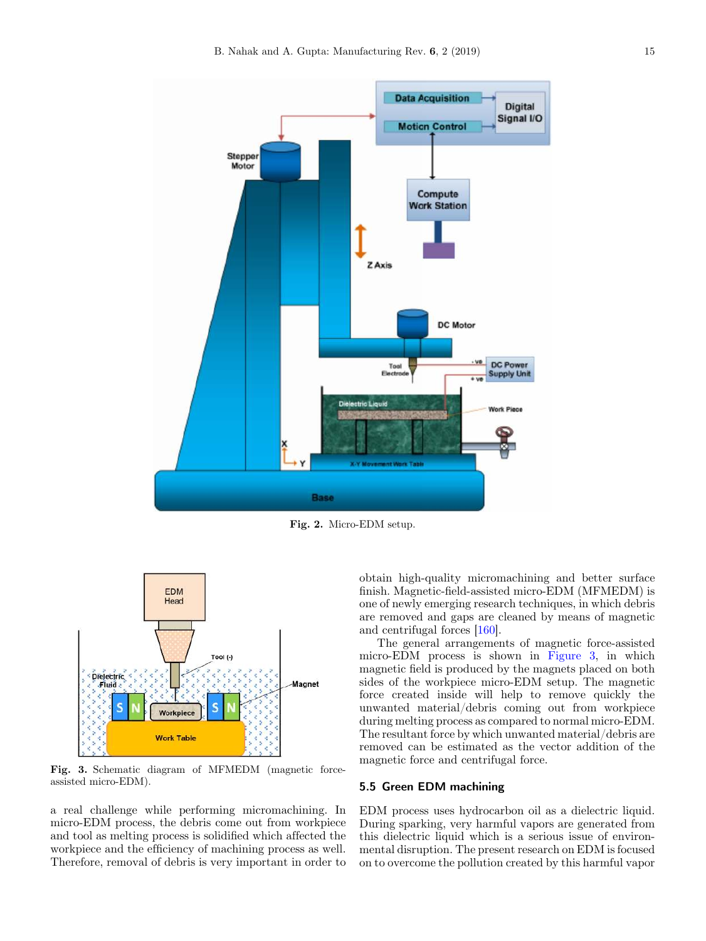

Fig. 2. Micro-EDM setup.



Fig. 3. Schematic diagram of MFMEDM (magnetic forceassisted micro-EDM).

a real challenge while performing micromachining. In micro-EDM process, the debris come out from workpiece and tool as melting process is solidified which affected the workpiece and the efficiency of machining process as well. Therefore, removal of debris is very important in order to

obtain high-quality micromachining and better surface finish. Magnetic-field-assisted micro-EDM (MFMEDM) is one of newly emerging research techniques, in which debris are removed and gaps are cleaned by means of magnetic and centrifugal forces [160].

The general arrangements of magnetic force-assisted micro-EDM process is shown in Figure 3, in which magnetic field is produced by the magnets placed on both sides of the workpiece micro-EDM setup. The magnetic force created inside will help to remove quickly the unwanted material/debris coming out from workpiece during melting process as compared to normal micro-EDM. The resultant force by which unwanted material/debris are removed can be estimated as the vector addition of the magnetic force and centrifugal force.

#### 5.5 Green EDM machining

EDM process uses hydrocarbon oil as a dielectric liquid. During sparking, very harmful vapors are generated from this dielectric liquid which is a serious issue of environmental disruption. The present research on EDM is focused on to overcome the pollution created by this harmful vapor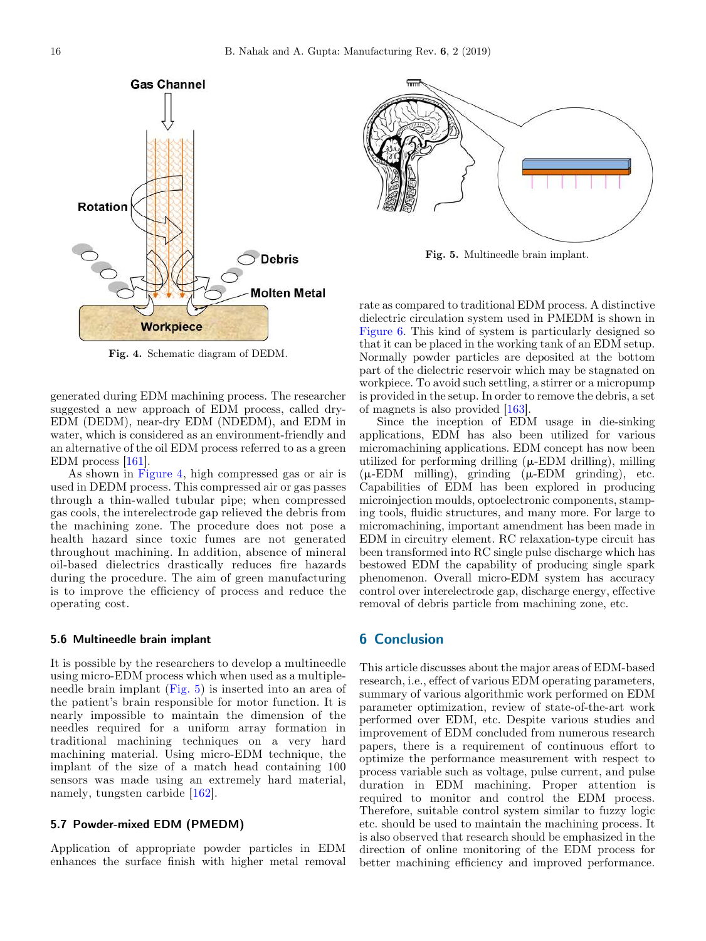

Fig. 4. Schematic diagram of DEDM.

generated during EDM machining process. The researcher suggested a new approach of EDM process, called dry-EDM (DEDM), near-dry EDM (NDEDM), and EDM in water, which is considered as an environment-friendly and an alternative of the oil EDM process referred to as a green EDM process [161].

As shown in Figure 4, high compressed gas or air is used in DEDM process. This compressed air or gas passes through a thin-walled tubular pipe; when compressed gas cools, the interelectrode gap relieved the debris from the machining zone. The procedure does not pose a health hazard since toxic fumes are not generated throughout machining. In addition, absence of mineral oil-based dielectrics drastically reduces fire hazards during the procedure. The aim of green manufacturing is to improve the efficiency of process and reduce the operating cost.

#### 5.6 Multineedle brain implant

It is possible by the researchers to develop a multineedle using micro-EDM process which when used as a multipleneedle brain implant (Fig. 5) is inserted into an area of the patient's brain responsible for motor function. It is nearly impossible to maintain the dimension of the needles required for a uniform array formation in traditional machining techniques on a very hard machining material. Using micro-EDM technique, the implant of the size of a match head containing 100 sensors was made using an extremely hard material, namely, tungsten carbide [162].

## 5.7 Powder-mixed EDM (PMEDM)

Application of appropriate powder particles in EDM enhances the surface finish with higher metal removal



Fig. 5. Multineedle brain implant.

rate as compared to traditional EDM process. A distinctive dielectric circulation system used in PMEDM is shown in Figure 6. This kind of system is particularly designed so that it can be placed in the working tank of an EDM setup. Normally powder particles are deposited at the bottom part of the dielectric reservoir which may be stagnated on workpiece. To avoid such settling, a stirrer or a micropump is provided in the setup. In order to remove the debris, a set of magnets is also provided [163].

Since the inception of EDM usage in die-sinking applications, EDM has also been utilized for various micromachining applications. EDM concept has now been utilized for performing drilling  $(\mu$ -EDM drilling), milling  $(\mu$ -EDM milling), grinding  $(\mu$ -EDM grinding), etc. Capabilities of EDM has been explored in producing microinjection moulds, optoelectronic components, stamping tools, fluidic structures, and many more. For large to micromachining, important amendment has been made in EDM in circuitry element. RC relaxation-type circuit has been transformed into RC single pulse discharge which has bestowed EDM the capability of producing single spark phenomenon. Overall micro-EDM system has accuracy control over interelectrode gap, discharge energy, effective removal of debris particle from machining zone, etc.

# 6 Conclusion

This article discusses about the major areas of EDM-based research, i.e., effect of various EDM operating parameters, summary of various algorithmic work performed on EDM parameter optimization, review of state-of-the-art work performed over EDM, etc. Despite various studies and improvement of EDM concluded from numerous research papers, there is a requirement of continuous effort to optimize the performance measurement with respect to process variable such as voltage, pulse current, and pulse duration in EDM machining. Proper attention is required to monitor and control the EDM process. Therefore, suitable control system similar to fuzzy logic etc. should be used to maintain the machining process. It is also observed that research should be emphasized in the direction of online monitoring of the EDM process for better machining efficiency and improved performance.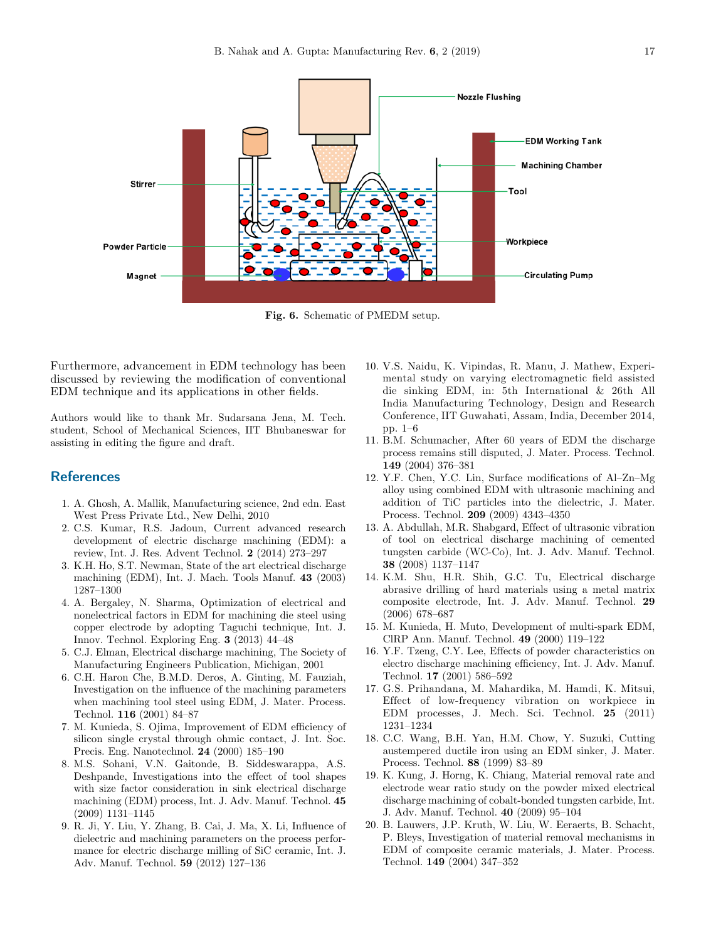

Fig. 6. Schematic of PMEDM setup.

Furthermore, advancement in EDM technology has been discussed by reviewing the modification of conventional EDM technique and its applications in other fields.

Authors would like to thank Mr. Sudarsana Jena, M. Tech. student, School of Mechanical Sciences, IIT Bhubaneswar for assisting in editing the figure and draft.

# **References**

- 1. A. Ghosh, A. Mallik, Manufacturing science, 2nd edn. East West Press Private Ltd., New Delhi, 2010
- 2. C.S. Kumar, R.S. Jadoun, Current advanced research development of electric discharge machining (EDM): a review, Int. J. Res. Advent Technol. 2 (2014) 273–297
- 3. K.H. Ho, S.T. Newman, State of the art electrical discharge machining (EDM), Int. J. Mach. Tools Manuf. 43 (2003) 1287–1300
- 4. A. Bergaley, N. Sharma, Optimization of electrical and nonelectrical factors in EDM for machining die steel using copper electrode by adopting Taguchi technique, Int. J. Innov. Technol. Exploring Eng. 3 (2013) 44–48
- 5. C.J. Elman, Electrical discharge machining, The Society of Manufacturing Engineers Publication, Michigan, 2001
- 6. C.H. Haron Che, B.M.D. Deros, A. Ginting, M. Fauziah, Investigation on the influence of the machining parameters when machining tool steel using EDM, J. Mater. Process. Technol. 116 (2001) 84–87
- 7. M. Kunieda, S. Ojima, Improvement of EDM efficiency of silicon single crystal through ohmic contact, J. Int. Soc. Precis. Eng. Nanotechnol. 24 (2000) 185–190
- 8. M.S. Sohani, V.N. Gaitonde, B. Siddeswarappa, A.S. Deshpande, Investigations into the effect of tool shapes with size factor consideration in sink electrical discharge machining (EDM) process, Int. J. Adv. Manuf. Technol. 45 (2009) 1131–1145
- 9. R. Ji, Y. Liu, Y. Zhang, B. Cai, J. Ma, X. Li, Influence of dielectric and machining parameters on the process performance for electric discharge milling of SiC ceramic, Int. J. Adv. Manuf. Technol. 59 (2012) 127–136
- 10. V.S. Naidu, K. Vipindas, R. Manu, J. Mathew, Experimental study on varying electromagnetic field assisted die sinking EDM, in: 5th International & 26th All India Manufacturing Technology, Design and Research Conference, IIT Guwahati, Assam, India, December 2014, pp. 1–6
- 11. B.M. Schumacher, After 60 years of EDM the discharge process remains still disputed, J. Mater. Process. Technol. 149 (2004) 376–381
- 12. Y.F. Chen, Y.C. Lin, Surface modifications of Al–Zn–Mg alloy using combined EDM with ultrasonic machining and addition of TiC particles into the dielectric, J. Mater. Process. Technol. 209 (2009) 4343–4350
- 13. A. Abdullah, M.R. Shabgard, Effect of ultrasonic vibration of tool on electrical discharge machining of cemented tungsten carbide (WC-Co), Int. J. Adv. Manuf. Technol. 38 (2008) 1137–1147
- 14. K.M. Shu, H.R. Shih, G.C. Tu, Electrical discharge abrasive drilling of hard materials using a metal matrix composite electrode, Int. J. Adv. Manuf. Technol. 29 (2006) 678–687
- 15. M. Kunieda, H. Muto, Development of multi-spark EDM, ClRP Ann. Manuf. Technol. 49 (2000) 119–122
- 16. Y.F. Tzeng, C.Y. Lee, Effects of powder characteristics on electro discharge machining efficiency, Int. J. Adv. Manuf. Technol. 17 (2001) 586–592
- 17. G.S. Prihandana, M. Mahardika, M. Hamdi, K. Mitsui, Effect of low-frequency vibration on workpiece in EDM processes, J. Mech. Sci. Technol. 25 (2011) 1231–1234
- 18. C.C. Wang, B.H. Yan, H.M. Chow, Y. Suzuki, Cutting austempered ductile iron using an EDM sinker, J. Mater. Process. Technol. 88 (1999) 83–89
- 19. K. Kung, J. Horng, K. Chiang, Material removal rate and electrode wear ratio study on the powder mixed electrical discharge machining of cobalt-bonded tungsten carbide, Int. J. Adv. Manuf. Technol. 40 (2009) 95–104
- 20. B. Lauwers, J.P. Kruth, W. Liu, W. Eeraerts, B. Schacht, P. Bleys, Investigation of material removal mechanisms in EDM of composite ceramic materials, J. Mater. Process. Technol. 149 (2004) 347–352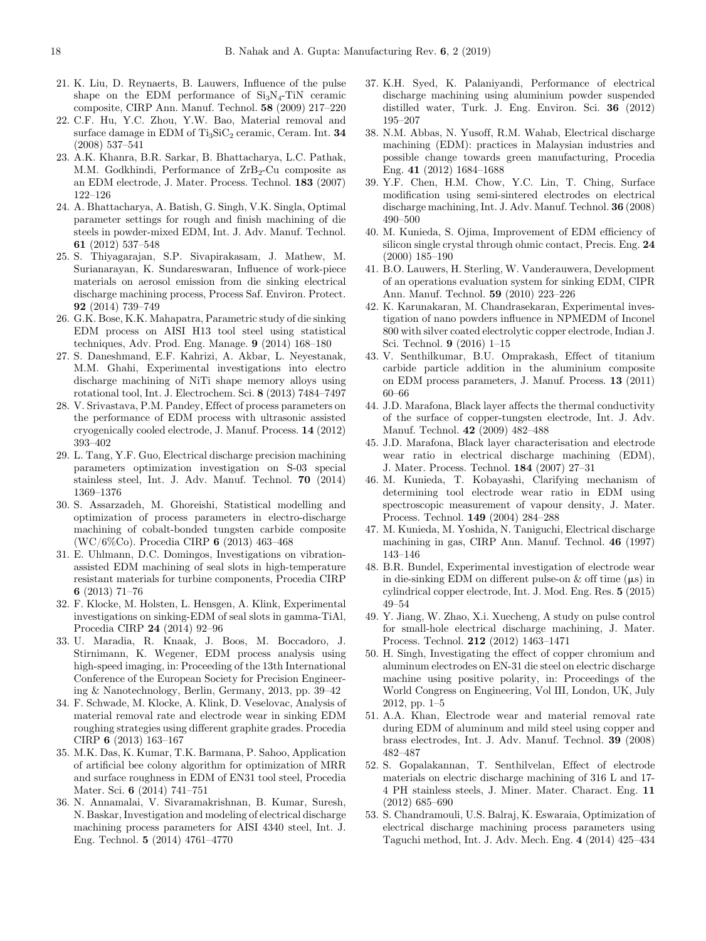- 21. K. Liu, D. Reynaerts, B. Lauwers, Influence of the pulse shape on the EDM performance of  $Si<sub>3</sub>N<sub>4</sub>-TiN$  ceramic composite, CIRP Ann. Manuf. Technol. 58 (2009) 217–220
- 22. C.F. Hu, Y.C. Zhou, Y.W. Bao, Material removal and surface damage in EDM of  $Ti<sub>3</sub>SiC<sub>2</sub>$  ceramic, Ceram. Int. 34 (2008) 537–541
- 23. A.K. Khanra, B.R. Sarkar, B. Bhattacharya, L.C. Pathak, M.M. Godkhindi, Performance of  $\rm ZrB_2$ -Cu composite as an EDM electrode, J. Mater. Process. Technol. 183 (2007) 122–126
- 24. A. Bhattacharya, A. Batish, G. Singh, V.K. Singla, Optimal parameter settings for rough and finish machining of die steels in powder-mixed EDM, Int. J. Adv. Manuf. Technol. 61 (2012) 537–548
- 25. S. Thiyagarajan, S.P. Sivapirakasam, J. Mathew, M. Surianarayan, K. Sundareswaran, Influence of work-piece materials on aerosol emission from die sinking electrical discharge machining process, Process Saf. Environ. Protect. 92 (2014) 739–749
- 26. G.K. Bose, K.K. Mahapatra, Parametric study of die sinking EDM process on AISI H13 tool steel using statistical techniques, Adv. Prod. Eng. Manage. 9 (2014) 168–180
- 27. S. Daneshmand, E.F. Kahrizi, A. Akbar, L. Neyestanak, M.M. Ghahi, Experimental investigations into electro discharge machining of NiTi shape memory alloys using rotational tool, Int. J. Electrochem. Sci. 8 (2013) 7484–7497
- 28. V. Srivastava, P.M. Pandey, Effect of process parameters on the performance of EDM process with ultrasonic assisted cryogenically cooled electrode, J. Manuf. Process. 14 (2012) 393–402
- 29. L. Tang, Y.F. Guo, Electrical discharge precision machining parameters optimization investigation on S-03 special stainless steel, Int. J. Adv. Manuf. Technol. 70 (2014) 1369–1376
- 30. S. Assarzadeh, M. Ghoreishi, Statistical modelling and optimization of process parameters in electro-discharge machining of cobalt-bonded tungsten carbide composite (WC/6%Co). Procedia CIRP 6 (2013) 463–468
- 31. E. Uhlmann, D.C. Domingos, Investigations on vibrationassisted EDM machining of seal slots in high-temperature resistant materials for turbine components, Procedia CIRP 6 (2013) 71–76
- 32. F. Klocke, M. Holsten, L. Hensgen, A. Klink, Experimental investigations on sinking-EDM of seal slots in gamma-TiAl, Procedia CIRP 24 (2014) 92–96
- 33. U. Maradia, R. Knaak, J. Boos, M. Boccadoro, J. Stirnimann, K. Wegener, EDM process analysis using high-speed imaging, in: Proceeding of the 13th International Conference of the European Society for Precision Engineering & Nanotechnology, Berlin, Germany, 2013, pp. 39–42
- 34. F. Schwade, M. Klocke, A. Klink, D. Veselovac, Analysis of material removal rate and electrode wear in sinking EDM roughing strategies using different graphite grades. Procedia CIRP 6 (2013) 163–167
- 35. M.K. Das, K. Kumar, T.K. Barmana, P. Sahoo, Application of artificial bee colony algorithm for optimization of MRR and surface roughness in EDM of EN31 tool steel, Procedia Mater. Sci. 6 (2014) 741–751
- 36. N. Annamalai, V. Sivaramakrishnan, B. Kumar, Suresh, N. Baskar, Investigation and modeling of electrical discharge machining process parameters for AISI 4340 steel, Int. J. Eng. Technol. 5 (2014) 4761–4770
- 37. K.H. Syed, K. Palaniyandi, Performance of electrical discharge machining using aluminium powder suspended distilled water, Turk. J. Eng. Environ. Sci. 36 (2012) 195–207
- 38. N.M. Abbas, N. Yusoff, R.M. Wahab, Electrical discharge machining (EDM): practices in Malaysian industries and possible change towards green manufacturing, Procedia Eng. 41 (2012) 1684–1688
- 39. Y.F. Chen, H.M. Chow, Y.C. Lin, T. Ching, Surface modification using semi-sintered electrodes on electrical discharge machining, Int. J. Adv. Manuf. Technol. 36 (2008) 490–500
- 40. M. Kunieda, S. Ojima, Improvement of EDM efficiency of silicon single crystal through ohmic contact, Precis. Eng. 24 (2000) 185–190
- 41. B.O. Lauwers, H. Sterling, W. Vanderauwera, Development of an operations evaluation system for sinking EDM, CIPR Ann. Manuf. Technol. 59 (2010) 223–226
- 42. K. Karunakaran, M. Chandrasekaran, Experimental investigation of nano powders influence in NPMEDM of Inconel 800 with silver coated electrolytic copper electrode, Indian J. Sci. Technol. 9 (2016) 1–15
- 43. V. Senthilkumar, B.U. Omprakash, Effect of titanium carbide particle addition in the aluminium composite on EDM process parameters, J. Manuf. Process. 13 (2011) 60–66
- 44. J.D. Marafona, Black layer affects the thermal conductivity of the surface of copper-tungsten electrode, Int. J. Adv. Manuf. Technol. 42 (2009) 482–488
- 45. J.D. Marafona, Black layer characterisation and electrode wear ratio in electrical discharge machining (EDM), J. Mater. Process. Technol. 184 (2007) 27–31
- 46. M. Kunieda, T. Kobayashi, Clarifying mechanism of determining tool electrode wear ratio in EDM using spectroscopic measurement of vapour density, J. Mater. Process. Technol. 149 (2004) 284–288
- 47. M. Kunieda, M. Yoshida, N. Taniguchi, Electrical discharge machining in gas, CIRP Ann. Manuf. Technol. 46 (1997) 143–146
- 48. B.R. Bundel, Experimental investigation of electrode wear in die-sinking EDM on different pulse-on  $\&$  off time  $(\mu s)$  in cylindrical copper electrode, Int. J. Mod. Eng. Res. 5 (2015) 49–54
- 49. Y. Jiang, W. Zhao, X.i. Xuecheng, A study on pulse control for small-hole electrical discharge machining, J. Mater. Process. Technol. 212 (2012) 1463–1471
- 50. H. Singh, Investigating the effect of copper chromium and aluminum electrodes on EN-31 die steel on electric discharge machine using positive polarity, in: Proceedings of the World Congress on Engineering, Vol III, London, UK, July 2012, pp. 1–5
- 51. A.A. Khan, Electrode wear and material removal rate during EDM of aluminum and mild steel using copper and brass electrodes, Int. J. Adv. Manuf. Technol. 39 (2008) 482–487
- 52. S. Gopalakannan, T. Senthilvelan, Effect of electrode materials on electric discharge machining of 316 L and 17- 4 PH stainless steels, J. Miner. Mater. Charact. Eng. 11 (2012) 685–690
- 53. S. Chandramouli, U.S. Balraj, K. Eswaraia, Optimization of electrical discharge machining process parameters using Taguchi method, Int. J. Adv. Mech. Eng. 4 (2014) 425–434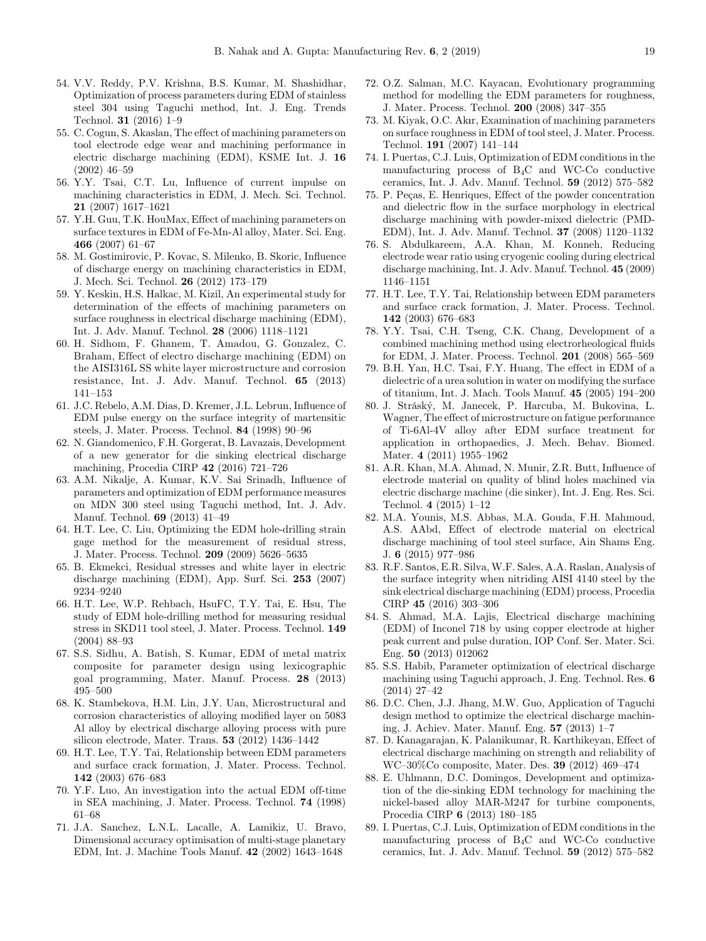- 54. V.V. Reddy, P.V. Krishna, B.S. Kumar, M. Shashidhar, Optimization of process parameters during EDM of stainless steel 304 using Taguchi method, Int. J. Eng. Trends Technol. 31 (2016) 1–9
- 55. C. Cogun, S. Akaslan, The effect of machining parameters on tool electrode edge wear and machining performance in electric discharge machining (EDM), KSME Int. J. 16 (2002) 46–59
- 56. Y.Y. Tsai, C.T. Lu, Influence of current impulse on machining characteristics in EDM, J. Mech. Sci. Technol. 21 (2007) 1617–1621
- 57. Y.H. Guu, T.K. HouMax, Effect of machining parameters on surface textures in EDM of Fe-Mn-Al alloy, Mater. Sci. Eng. 466 (2007) 61–67
- 58. M. Gostimirovic, P. Kovac, S. Milenko, B. Skoric, Influence of discharge energy on machining characteristics in EDM, J. Mech. Sci. Technol. 26 (2012) 173–179
- 59. Y. Keskin, H.S. Halkac, M. Kizil, An experimental study for determination of the effects of machining parameters on surface roughness in electrical discharge machining (EDM), Int. J. Adv. Manuf. Technol. 28 (2006) 1118–1121
- 60. H. Sidhom, F. Ghanem, T. Amadou, G. Gonzalez, C. Braham, Effect of electro discharge machining (EDM) on the AISI316L SS white layer microstructure and corrosion resistance, Int. J. Adv. Manuf. Technol. 65 (2013) 141–153
- 61. J.C. Rebelo, A.M. Dias, D. Kremer, J.L. Lebrun, Influence of EDM pulse energy on the surface integrity of martensitic steels, J. Mater. Process. Technol. 84 (1998) 90–96
- 62. N. Giandomenico, F.H. Gorgerat, B. Lavazais, Development of a new generator for die sinking electrical discharge machining, Procedia CIRP 42 (2016) 721–726
- 63. A.M. Nikalje, A. Kumar, K.V. Sai Srinadh, Influence of parameters and optimization of EDM performance measures on MDN 300 steel using Taguchi method, Int. J. Adv. Manuf. Technol. 69 (2013) 41–49
- 64. H.T. Lee, C. Liu, Optimizing the EDM hole-drilling strain gage method for the measurement of residual stress, J. Mater. Process. Technol. 209 (2009) 5626–5635
- 65. B. Ekmekci, Residual stresses and white layer in electric discharge machining (EDM), App. Surf. Sci. 253 (2007) 9234–9240
- 66. H.T. Lee, W.P. Rehbach, HsuFC, T.Y. Tai, E. Hsu, The study of EDM hole-drilling method for measuring residual stress in SKD11 tool steel, J. Mater. Process. Technol. 149 (2004) 88–93
- 67. S.S. Sidhu, A. Batish, S. Kumar, EDM of metal matrix composite for parameter design using lexicographic goal programming, Mater. Manuf. Process. 28 (2013) 495–500
- 68. K. Stambekova, H.M. Lin, J.Y. Uan, Microstructural and corrosion characteristics of alloying modified layer on 5083 Al alloy by electrical discharge alloying process with pure silicon electrode, Mater. Trans. 53 (2012) 1436–1442
- 69. H.T. Lee, T.Y. Tai, Relationship between EDM parameters and surface crack formation, J. Mater. Process. Technol. 142 (2003) 676–683
- 70. Y.F. Luo, An investigation into the actual EDM off-time in SEA machining, J. Mater. Process. Technol. 74 (1998) 61–68
- 71. J.A. Sanchez, L.N.L. Lacalle, A. Lamikiz, U. Bravo, Dimensional accuracy optimisation of multi-stage planetary EDM, Int. J. Machine Tools Manuf. 42 (2002) 1643–1648
- 72. O.Z. Salman, M.C. Kayacan, Evolutionary programming method for modelling the EDM parameters for roughness, J. Mater. Process. Technol. 200 (2008) 347–355
- 73. M. Kiyak, O.C. Akır, Examination of machining parameters on surface roughness in EDM of tool steel, J. Mater. Process. Technol. 191 (2007) 141–144
- 74. I. Puertas, C.J. Luis, Optimization of EDM conditions in the manufacturing process of  $B_4C$  and WC-Co conductive ceramics, Int. J. Adv. Manuf. Technol. 59 (2012) 575–582
- 75. P. Peças, E. Henriques, Effect of the powder concentration and dielectric flow in the surface morphology in electrical discharge machining with powder-mixed dielectric (PMD-EDM), Int. J. Adv. Manuf. Technol. 37 (2008) 1120–1132
- 76. S. Abdulkareem, A.A. Khan, M. Konneh, Reducing electrode wear ratio using cryogenic cooling during electrical discharge machining, Int. J. Adv. Manuf. Technol. 45 (2009) 1146–1151
- 77. H.T. Lee, T.Y. Tai, Relationship between EDM parameters and surface crack formation, J. Mater. Process. Technol. 142 (2003) 676–683
- 78. Y.Y. Tsai, C.H. Tseng, C.K. Chang, Development of a combined machining method using electrorheological fluids for EDM, J. Mater. Process. Technol. 201 (2008) 565–569
- 79. B.H. Yan, H.C. Tsai, F.Y. Huang, The effect in EDM of a dielectric of a urea solution in water on modifying the surface of titanium, Int. J. Mach. Tools Manuf. 45 (2005) 194–200
- 80. J. Strásky, M. Janecek, P. Harcuba, M. Bukovina, L. Wagner, The effect of microstructure on fatigue performance of Ti-6Al-4V alloy after EDM surface treatment for application in orthopaedics, J. Mech. Behav. Biomed. Mater. 4 (2011) 1955–1962
- 81. A.R. Khan, M.A. Ahmad, N. Munir, Z.R. Butt, Influence of electrode material on quality of blind holes machined via electric discharge machine (die sinker), Int. J. Eng. Res. Sci. Technol. 4 (2015) 1–12
- 82. M.A. Younis, M.S. Abbas, M.A. Gouda, F.H. Mahmoud, A.S. AAbd, Effect of electrode material on electrical discharge machining of tool steel surface, Ain Shams Eng. J. 6 (2015) 977–986
- 83. R.F. Santos, E.R. Silva, W.F. Sales, A.A. Raslan, Analysis of the surface integrity when nitriding AISI 4140 steel by the sink electrical discharge machining (EDM) process, Procedia CIRP 45 (2016) 303–306
- 84. S. Ahmad, M.A. Lajis, Electrical discharge machining (EDM) of Inconel 718 by using copper electrode at higher peak current and pulse duration, IOP Conf. Ser. Mater. Sci. Eng. 50 (2013) 012062
- 85. S.S. Habib, Parameter optimization of electrical discharge machining using Taguchi approach, J. Eng. Technol. Res. 6 (2014) 27–42
- 86. D.C. Chen, J.J. Jhang, M.W. Guo, Application of Taguchi design method to optimize the electrical discharge machining, J. Achiev. Mater. Manuf. Eng. 57 (2013) 1–7
- 87. D. Kanagarajan, K. Palanikumar, R. Karthikeyan, Effect of electrical discharge machining on strength and reliability of WC–30%Co composite, Mater. Des. 39 (2012) 469–474
- 88. E. Uhlmann, D.C. Domingos, Development and optimization of the die-sinking EDM technology for machining the nickel-based alloy MAR-M247 for turbine components, Procedia CIRP 6 (2013) 180–185
- 89. I. Puertas, C.J. Luis, Optimization of EDM conditions in the manufacturing process of  $B_4C$  and WC-Co conductive ceramics, Int. J. Adv. Manuf. Technol. 59 (2012) 575–582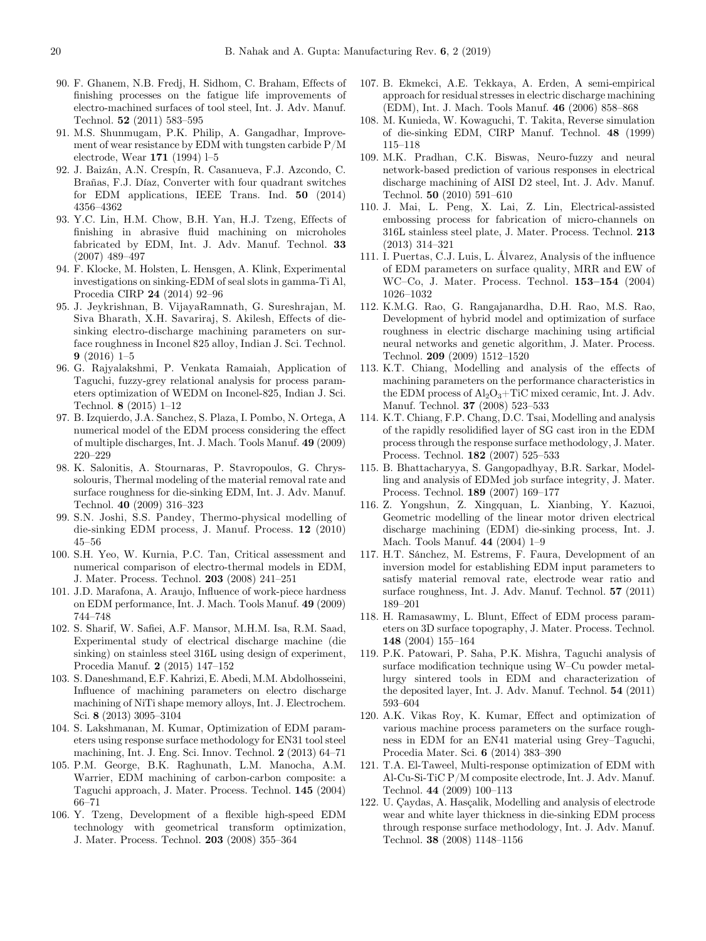- 90. F. Ghanem, N.B. Fredj, H. Sidhom, C. Braham, Effects of finishing processes on the fatigue life improvements of electro-machined surfaces of tool steel, Int. J. Adv. Manuf. Technol. 52 (2011) 583–595
- 91. M.S. Shunmugam, P.K. Philip, A. Gangadhar, Improvement of wear resistance by EDM with tungsten carbide P/M electrode, Wear 171 (1994) l–5
- 92. J. Baizán, A.N. Crespín, R. Casanueva, F.J. Azcondo, C. Brañas, F.J. Díaz, Converter with four quadrant switches for EDM applications, IEEE Trans. Ind. 50 (2014) 4356–4362
- 93. Y.C. Lin, H.M. Chow, B.H. Yan, H.J. Tzeng, Effects of finishing in abrasive fluid machining on microholes fabricated by EDM, Int. J. Adv. Manuf. Technol. 33 (2007) 489–497
- 94. F. Klocke, M. Holsten, L. Hensgen, A. Klink, Experimental investigations on sinking-EDM of seal slots in gamma-Ti Al, Procedia CIRP 24 (2014) 92–96
- 95. J. Jeykrishnan, B. VijayaRamnath, G. Sureshrajan, M. Siva Bharath, X.H. Savariraj, S. Akilesh, Effects of diesinking electro-discharge machining parameters on surface roughness in Inconel 825 alloy, Indian J. Sci. Technol. 9 (2016)  $1-5$
- 96. G. Rajyalakshmi, P. Venkata Ramaiah, Application of Taguchi, fuzzy-grey relational analysis for process parameters optimization of WEDM on Inconel-825, Indian J. Sci. Technol. 8 (2015) 1–12
- 97. B. Izquierdo, J.A. Sanchez, S. Plaza, I. Pombo, N. Ortega, A numerical model of the EDM process considering the effect of multiple discharges, Int. J. Mach. Tools Manuf. 49 (2009) 220–229
- 98. K. Salonitis, A. Stournaras, P. Stavropoulos, G. Chryssolouris, Thermal modeling of the material removal rate and surface roughness for die-sinking EDM, Int. J. Adv. Manuf. Technol. 40 (2009) 316–323
- 99. S.N. Joshi, S.S. Pandey, Thermo-physical modelling of die-sinking EDM process, J. Manuf. Process. 12 (2010) 45–56
- 100. S.H. Yeo, W. Kurnia, P.C. Tan, Critical assessment and numerical comparison of electro-thermal models in EDM, J. Mater. Process. Technol. 203 (2008) 241–251
- 101. J.D. Marafona, A. Araujo, Influence of work-piece hardness on EDM performance, Int. J. Mach. Tools Manuf. 49 (2009) 744–748
- 102. S. Sharif, W. Safiei, A.F. Mansor, M.H.M. Isa, R.M. Saad, Experimental study of electrical discharge machine (die sinking) on stainless steel 316L using design of experiment, Procedia Manuf. 2 (2015) 147–152
- 103. S. Daneshmand, E.F. Kahrizi, E. Abedi, M.M. Abdolhosseini, Influence of machining parameters on electro discharge machining of NiTi shape memory alloys, Int. J. Electrochem. Sci. 8 (2013) 3095–3104
- 104. S. Lakshmanan, M. Kumar, Optimization of EDM parameters using response surface methodology for EN31 tool steel machining, Int. J. Eng. Sci. Innov. Technol. 2 (2013) 64–71
- 105. P.M. George, B.K. Raghunath, L.M. Manocha, A.M. Warrier, EDM machining of carbon-carbon composite: a Taguchi approach, J. Mater. Process. Technol. 145 (2004) 66–71
- 106. Y. Tzeng, Development of a flexible high-speed EDM technology with geometrical transform optimization, J. Mater. Process. Technol. 203 (2008) 355–364
- 107. B. Ekmekci, A.E. Tekkaya, A. Erden, A semi-empirical approach for residual stresses in electric discharge machining (EDM), Int. J. Mach. Tools Manuf. 46 (2006) 858–868
- 108. M. Kunieda, W. Kowaguchi, T. Takita, Reverse simulation of die-sinking EDM, CIRP Manuf. Technol. 48 (1999) 115–118
- 109. M.K. Pradhan, C.K. Biswas, Neuro-fuzzy and neural network-based prediction of various responses in electrical discharge machining of AISI D2 steel, Int. J. Adv. Manuf. Technol. 50 (2010) 591–610
- 110. J. Mai, L. Peng, X. Lai, Z. Lin, Electrical-assisted embossing process for fabrication of micro-channels on 316L stainless steel plate, J. Mater. Process. Technol. 213 (2013) 314–321
- 111. I. Puertas, C.J. Luis, L. Álvarez, Analysis of the influence of EDM parameters on surface quality, MRR and EW of WC–Co, J. Mater. Process. Technol. 153–154 (2004) 1026–1032
- 112. K.M.G. Rao, G. Rangajanardha, D.H. Rao, M.S. Rao, Development of hybrid model and optimization of surface roughness in electric discharge machining using artificial neural networks and genetic algorithm, J. Mater. Process. Technol. 209 (2009) 1512–1520
- 113. K.T. Chiang, Modelling and analysis of the effects of machining parameters on the performance characteristics in the EDM process of  $Al_2O_3+TiC$  mixed ceramic, Int. J. Adv. Manuf. Technol. 37 (2008) 523–533
- 114. K.T. Chiang, F.P. Chang, D.C. Tsai, Modelling and analysis of the rapidly resolidified layer of SG cast iron in the EDM process through the response surface methodology, J. Mater. Process. Technol. 182 (2007) 525–533
- 115. B. Bhattacharyya, S. Gangopadhyay, B.R. Sarkar, Modelling and analysis of EDMed job surface integrity, J. Mater. Process. Technol. 189 (2007) 169–177
- 116. Z. Yongshun, Z. Xingquan, L. Xianbing, Y. Kazuoi, Geometric modelling of the linear motor driven electrical discharge machining (EDM) die-sinking process, Int. J. Mach. Tools Manuf. 44 (2004) 1–9
- 117. H.T. Sánchez, M. Estrems, F. Faura, Development of an inversion model for establishing EDM input parameters to satisfy material removal rate, electrode wear ratio and surface roughness, Int. J. Adv. Manuf. Technol. 57 (2011) 189–201
- 118. H. Ramasawmy, L. Blunt, Effect of EDM process parameters on 3D surface topography, J. Mater. Process. Technol. 148 (2004) 155–164
- 119. P.K. Patowari, P. Saha, P.K. Mishra, Taguchi analysis of surface modification technique using W–Cu powder metallurgy sintered tools in EDM and characterization of the deposited layer, Int. J. Adv. Manuf. Technol. 54 (2011) 593–604
- 120. A.K. Vikas Roy, K. Kumar, Effect and optimization of various machine process parameters on the surface roughness in EDM for an EN41 material using Grey–Taguchi, Procedia Mater. Sci. 6 (2014) 383–390
- 121. T.A. El-Taweel, Multi-response optimization of EDM with Al-Cu-Si-TiC P/M composite electrode, Int. J. Adv. Manuf. Technol. 44 (2009) 100–113
- 122. U. Çaydas, A. Hasçalik, Modelling and analysis of electrode wear and white layer thickness in die-sinking EDM process through response surface methodology, Int. J. Adv. Manuf. Technol. 38 (2008) 1148–1156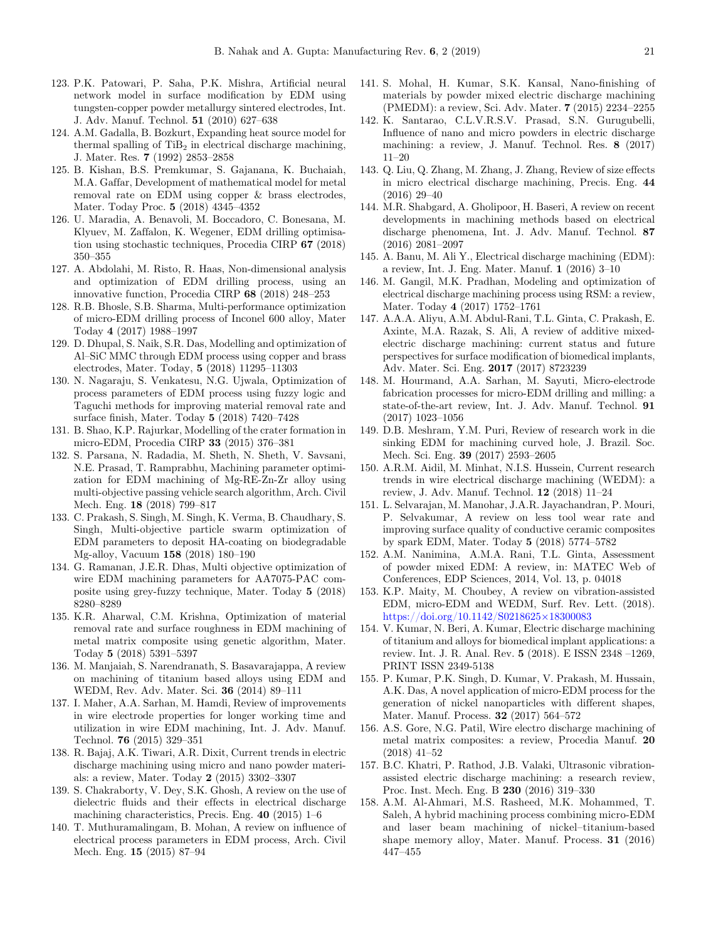- 123. P.K. Patowari, P. Saha, P.K. Mishra, Artificial neural network model in surface modification by EDM using tungsten-copper powder metallurgy sintered electrodes, Int. J. Adv. Manuf. Technol. 51 (2010) 627–638
- 124. A.M. Gadalla, B. Bozkurt, Expanding heat source model for thermal spalling of  $TiB<sub>2</sub>$  in electrical discharge machining, J. Mater. Res. 7 (1992) 2853–2858
- 125. B. Kishan, B.S. Premkumar, S. Gajanana, K. Buchaiah, M.A. Gaffar, Development of mathematical model for metal removal rate on EDM using copper & brass electrodes, Mater. Today Proc. 5 (2018) 4345–4352
- 126. U. Maradia, A. Benavoli, M. Boccadoro, C. Bonesana, M. Klyuev, M. Zaffalon, K. Wegener, EDM drilling optimisation using stochastic techniques, Procedia CIRP 67 (2018) 350–355
- 127. A. Abdolahi, M. Risto, R. Haas, Non-dimensional analysis and optimization of EDM drilling process, using an innovative function, Procedia CIRP 68 (2018) 248–253
- 128. R.B. Bhosle, S.B. Sharma, Multi-performance optimization of micro-EDM drilling process of Inconel 600 alloy, Mater Today 4 (2017) 1988–1997
- 129. D. Dhupal, S. Naik, S.R. Das, Modelling and optimization of Al–SiC MMC through EDM process using copper and brass electrodes, Mater. Today, 5 (2018) 11295–11303
- 130. N. Nagaraju, S. Venkatesu, N.G. Ujwala, Optimization of process parameters of EDM process using fuzzy logic and Taguchi methods for improving material removal rate and surface finish, Mater. Today 5 (2018) 7420–7428
- 131. B. Shao, K.P. Rajurkar, Modelling of the crater formation in micro-EDM, Procedia CIRP 33 (2015) 376–381
- 132. S. Parsana, N. Radadia, M. Sheth, N. Sheth, V. Savsani, N.E. Prasad, T. Ramprabhu, Machining parameter optimization for EDM machining of Mg-RE-Zn-Zr alloy using multi-objective passing vehicle search algorithm, Arch. Civil Mech. Eng. 18 (2018) 799–817
- 133. C. Prakash, S. Singh, M. Singh, K. Verma, B. Chaudhary, S. Singh, Multi-objective particle swarm optimization of EDM parameters to deposit HA-coating on biodegradable Mg-alloy, Vacuum 158 (2018) 180–190
- 134. G. Ramanan, J.E.R. Dhas, Multi objective optimization of wire EDM machining parameters for AA7075-PAC composite using grey-fuzzy technique, Mater. Today 5 (2018) 8280–8289
- 135. K.R. Aharwal, C.M. Krishna, Optimization of material removal rate and surface roughness in EDM machining of metal matrix composite using genetic algorithm, Mater. Today 5 (2018) 5391–5397
- 136. M. Manjaiah, S. Narendranath, S. Basavarajappa, A review on machining of titanium based alloys using EDM and WEDM, Rev. Adv. Mater. Sci. 36 (2014) 89–111
- 137. I. Maher, A.A. Sarhan, M. Hamdi, Review of improvements in wire electrode properties for longer working time and utilization in wire EDM machining, Int. J. Adv. Manuf. Technol. 76 (2015) 329–351
- 138. R. Bajaj, A.K. Tiwari, A.R. Dixit, Current trends in electric discharge machining using micro and nano powder materials: a review, Mater. Today 2 (2015) 3302–3307
- 139. S. Chakraborty, V. Dey, S.K. Ghosh, A review on the use of dielectric fluids and their effects in electrical discharge machining characteristics, Precis. Eng. 40 (2015) 1–6
- 140. T. Muthuramalingam, B. Mohan, A review on influence of electrical process parameters in EDM process, Arch. Civil Mech. Eng. 15 (2015) 87–94
- 141. S. Mohal, H. Kumar, S.K. Kansal, Nano-finishing of materials by powder mixed electric discharge machining (PMEDM): a review, Sci. Adv. Mater. 7 (2015) 2234–2255
- 142. K. Santarao, C.L.V.R.S.V. Prasad, S.N. Gurugubelli, Influence of nano and micro powders in electric discharge machining: a review, J. Manuf. Technol. Res. 8 (2017) 11–20
- 143. Q. Liu, Q. Zhang, M. Zhang, J. Zhang, Review of size effects in micro electrical discharge machining, Precis. Eng. 44 (2016) 29–40
- 144. M.R. Shabgard, A. Gholipoor, H. Baseri, A review on recent developments in machining methods based on electrical discharge phenomena, Int. J. Adv. Manuf. Technol. 87 (2016) 2081–2097
- 145. A. Banu, M. Ali Y., Electrical discharge machining (EDM): a review, Int. J. Eng. Mater. Manuf. 1 (2016) 3–10
- 146. M. Gangil, M.K. Pradhan, Modeling and optimization of electrical discharge machining process using RSM: a review, Mater. Today 4 (2017) 1752–1761
- 147. A.A.A. Aliyu, A.M. Abdul-Rani, T.L. Ginta, C. Prakash, E. Axinte, M.A. Razak, S. Ali, A review of additive mixedelectric discharge machining: current status and future perspectives for surface modification of biomedical implants, Adv. Mater. Sci. Eng. 2017 (2017) 8723239
- 148. M. Hourmand, A.A. Sarhan, M. Sayuti, Micro-electrode fabrication processes for micro-EDM drilling and milling: a state-of-the-art review, Int. J. Adv. Manuf. Technol. 91 (2017) 1023–1056
- 149. D.B. Meshram, Y.M. Puri, Review of research work in die sinking EDM for machining curved hole, J. Brazil. Soc. Mech. Sci. Eng. 39 (2017) 2593–2605
- 150. A.R.M. Aidil, M. Minhat, N.I.S. Hussein, Current research trends in wire electrical discharge machining (WEDM): a review, J. Adv. Manuf. Technol. 12 (2018) 11–24
- 151. L. Selvarajan, M. Manohar, J.A.R. Jayachandran, P. Mouri, P. Selvakumar, A review on less tool wear rate and improving surface quality of conductive ceramic composites by spark EDM, Mater. Today 5 (2018) 5774–5782
- 152. A.M. Nanimina, A.M.A. Rani, T.L. Ginta, Assessment of powder mixed EDM: A review, in: MATEC Web of Conferences, EDP Sciences, 2014, Vol. 13, p. 04018
- 153. K.P. Maity, M. Choubey, A review on vibration-assisted EDM, micro-EDM and WEDM, Surf. Rev. Lett. (2018). https://doi.org/10.1142/S0218625 $\times$ 18300083
- 154. V. Kumar, N. Beri, A. Kumar, Electric discharge machining of titanium and alloys for biomedical implant applications: a review. Int. J. R. Anal. Rev. 5 (2018). E ISSN 2348 –1269, PRINT ISSN 2349-5138
- 155. P. Kumar, P.K. Singh, D. Kumar, V. Prakash, M. Hussain, A.K. Das, A novel application of micro-EDM process for the generation of nickel nanoparticles with different shapes, Mater. Manuf. Process. 32 (2017) 564–572
- 156. A.S. Gore, N.G. Patil, Wire electro discharge machining of metal matrix composites: a review, Procedia Manuf. 20 (2018) 41–52
- 157. B.C. Khatri, P. Rathod, J.B. Valaki, Ultrasonic vibrationassisted electric discharge machining: a research review, Proc. Inst. Mech. Eng. B 230 (2016) 319–330
- 158. A.M. Al-Ahmari, M.S. Rasheed, M.K. Mohammed, T. Saleh, A hybrid machining process combining micro-EDM and laser beam machining of nickel–titanium-based shape memory alloy, Mater. Manuf. Process. 31 (2016) 447–455